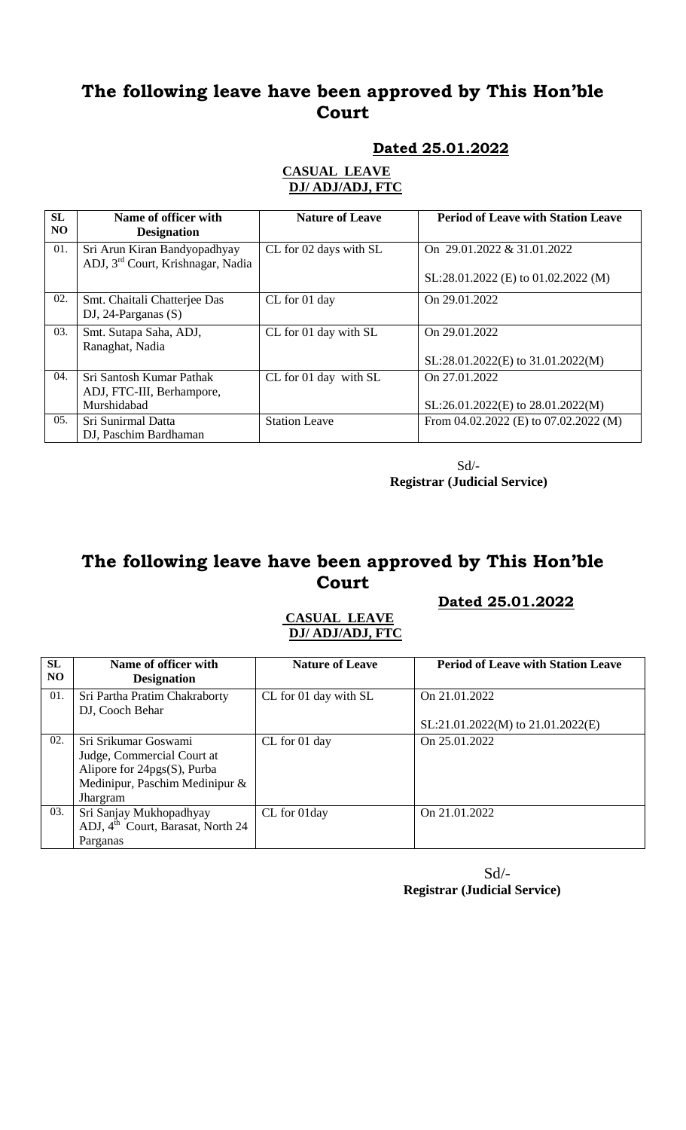### **Dated 25.01.2022**

#### **CASUAL LEAVE DJ/ ADJ/ADJ, FTC**

| SL<br>N <sub>O</sub> | Name of officer with<br><b>Designation</b>                                    | <b>Nature of Leave</b> | <b>Period of Leave with Station Leave</b>            |
|----------------------|-------------------------------------------------------------------------------|------------------------|------------------------------------------------------|
| 01.                  | Sri Arun Kiran Bandyopadhyay<br>ADJ, 3 <sup>rd</sup> Court, Krishnagar, Nadia | CL for 02 days with SL | On 29.01.2022 & 31.01.2022                           |
|                      |                                                                               |                        | SL:28.01.2022 (E) to 01.02.2022 (M)                  |
| 02.                  | Smt. Chaitali Chatterjee Das<br>DJ, 24-Parganas $(S)$                         | CL for 01 day          | On 29.01.2022                                        |
| 03.                  | Smt. Sutapa Saha, ADJ,<br>Ranaghat, Nadia                                     | CL for 01 day with SL  | On 29.01.2022<br>$SL:28.01.2022(E)$ to 31.01.2022(M) |
| 04.                  | Sri Santosh Kumar Pathak<br>ADJ, FTC-III, Berhampore,<br>Murshidabad          | CL for 01 day with SL  | On 27.01.2022<br>SL:26.01.2022(E) to 28.01.2022(M)   |
| 0.5 <sub>1</sub>     | Sri Sunirmal Datta<br>DJ, Paschim Bardhaman                                   | <b>Station Leave</b>   | From $04.02.2022$ (E) to $07.02.2022$ (M)            |

 Sd/-  **Registrar (Judicial Service)**

## **The following leave have been approved by This Hon'ble Court**

### **Dated 25.01.2022**

#### **CASUAL LEAVE DJ/ ADJ/ADJ, FTC**

| <b>SL</b><br>N <sub>O</sub> | Name of officer with<br><b>Designation</b>       | <b>Nature of Leave</b> | <b>Period of Leave with Station Leave</b> |
|-----------------------------|--------------------------------------------------|------------------------|-------------------------------------------|
| 01.                         | Sri Partha Pratim Chakraborty<br>DJ, Cooch Behar | CL for 01 day with SL  | On 21.01.2022                             |
|                             |                                                  |                        | $SL:21.01.2022(M)$ to $21.01.2022(E)$     |
| 02.                         | Sri Srikumar Goswami                             | CL for 01 day          | On 25.01.2022                             |
|                             | Judge, Commercial Court at                       |                        |                                           |
|                             | Alipore for $24pgs(S)$ , Purba                   |                        |                                           |
|                             | Medinipur, Paschim Medinipur &                   |                        |                                           |
|                             | Jhargram                                         |                        |                                           |
| 03.                         | Sri Sanjay Mukhopadhyay                          | CL for 01day           | On 21.01.2022                             |
|                             | ADJ, 4 <sup>th</sup> Court, Barasat, North 24    |                        |                                           |
|                             | Parganas                                         |                        |                                           |

 $Sd$ <sup>-</sup> **Registrar (Judicial Service)**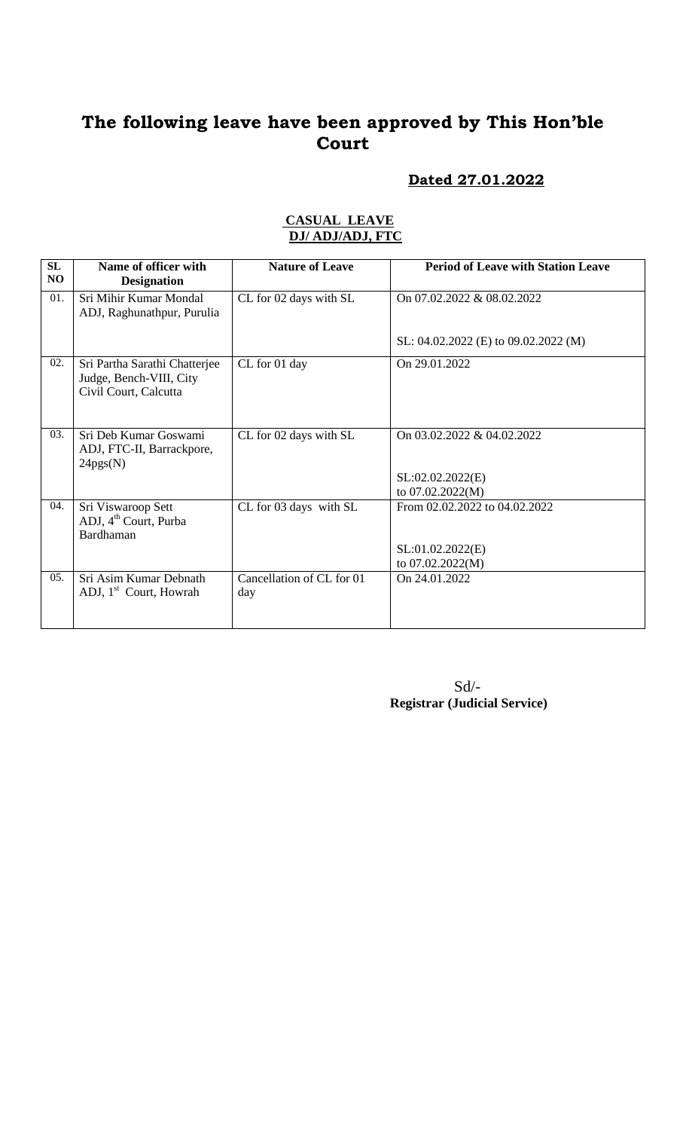### **Dated 27.01.2022**

| SL<br>N <sub>O</sub> | Name of officer with<br><b>Designation</b>                                        | <b>Nature of Leave</b>           | <b>Period of Leave with Station Leave</b>                             |
|----------------------|-----------------------------------------------------------------------------------|----------------------------------|-----------------------------------------------------------------------|
| 01.                  | Sri Mihir Kumar Mondal<br>ADJ, Raghunathpur, Purulia                              | CL for 02 days with SL           | On 07.02.2022 & 08.02.2022                                            |
|                      |                                                                                   |                                  | SL: 04.02.2022 (E) to 09.02.2022 (M)                                  |
| 02.                  | Sri Partha Sarathi Chatterjee<br>Judge, Bench-VIII, City<br>Civil Court, Calcutta | CL for 01 day                    | On 29.01.2022                                                         |
| 03.                  | Sri Deb Kumar Goswami<br>ADJ, FTC-II, Barrackpore,<br>24pgs(N)                    | CL for 02 days with SL           | On 03.02.2022 & 04.02.2022<br>SL:02.02.2022(E)<br>to 07.02.2022(M)    |
| 04.                  | Sri Viswaroop Sett<br>ADJ, 4 <sup>th</sup> Court, Purba<br>Bardhaman              | CL for 03 days with SL           | From 02.02.2022 to 04.02.2022<br>SL:01.02.2022(E)<br>to 07.02.2022(M) |
| 05.                  | Sri Asim Kumar Debnath<br>ADJ, 1 <sup>st</sup> Court, Howrah                      | Cancellation of CL for 01<br>day | On 24.01.2022                                                         |

#### **CASUAL LEAVE DJ/ ADJ/ADJ, FTC**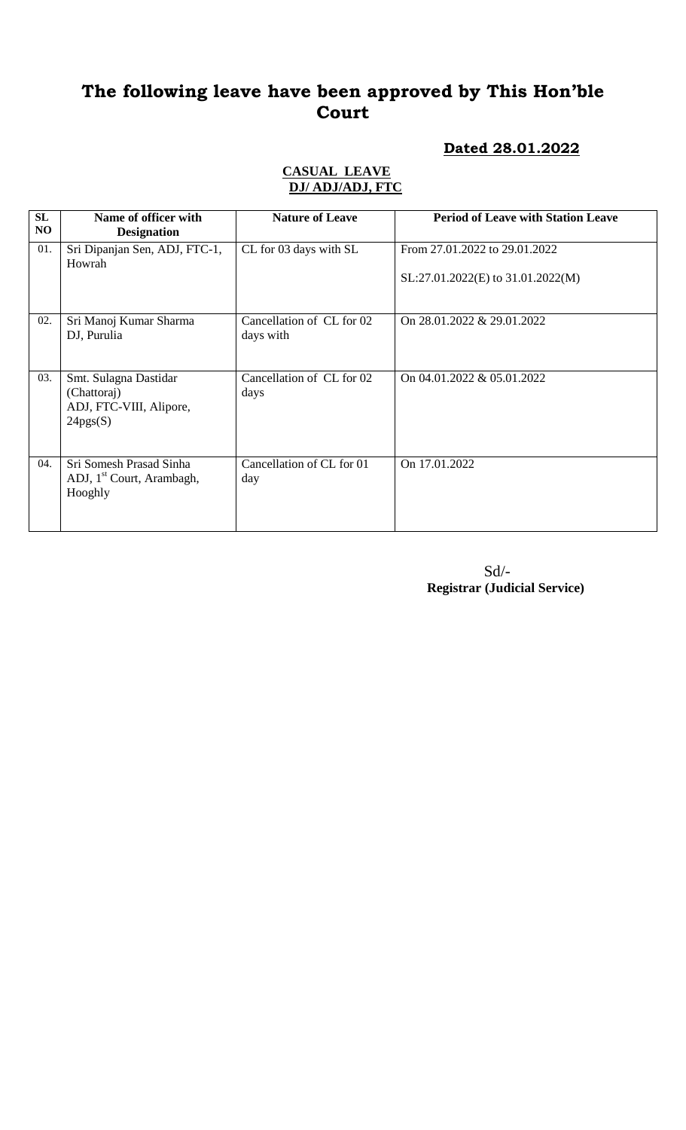### **Dated 28.01.2022**

#### **CASUAL LEAVE DJ/ ADJ/ADJ, FTC**

| SL<br>NO | Name of officer with<br><b>Designation</b>                                  | <b>Nature of Leave</b>                 | <b>Period of Leave with Station Leave</b>                          |
|----------|-----------------------------------------------------------------------------|----------------------------------------|--------------------------------------------------------------------|
| 01.      | Sri Dipanjan Sen, ADJ, FTC-1,<br>Howrah                                     | CL for 03 days with SL                 | From 27.01.2022 to 29.01.2022<br>SL:27.01.2022(E) to 31.01.2022(M) |
| 02.      | Sri Manoj Kumar Sharma<br>DJ, Purulia                                       | Cancellation of CL for 02<br>days with | On 28.01.2022 & 29.01.2022                                         |
| 03.      | Smt. Sulagna Dastidar<br>(Chattoraj)<br>ADJ, FTC-VIII, Alipore,<br>24pgs(S) | Cancellation of CL for 02<br>days      | On 04.01.2022 & 05.01.2022                                         |
| 04.      | Sri Somesh Prasad Sinha<br>ADJ, 1 <sup>st</sup> Court, Arambagh,<br>Hooghly | Cancellation of CL for 01<br>day       | On 17.01.2022                                                      |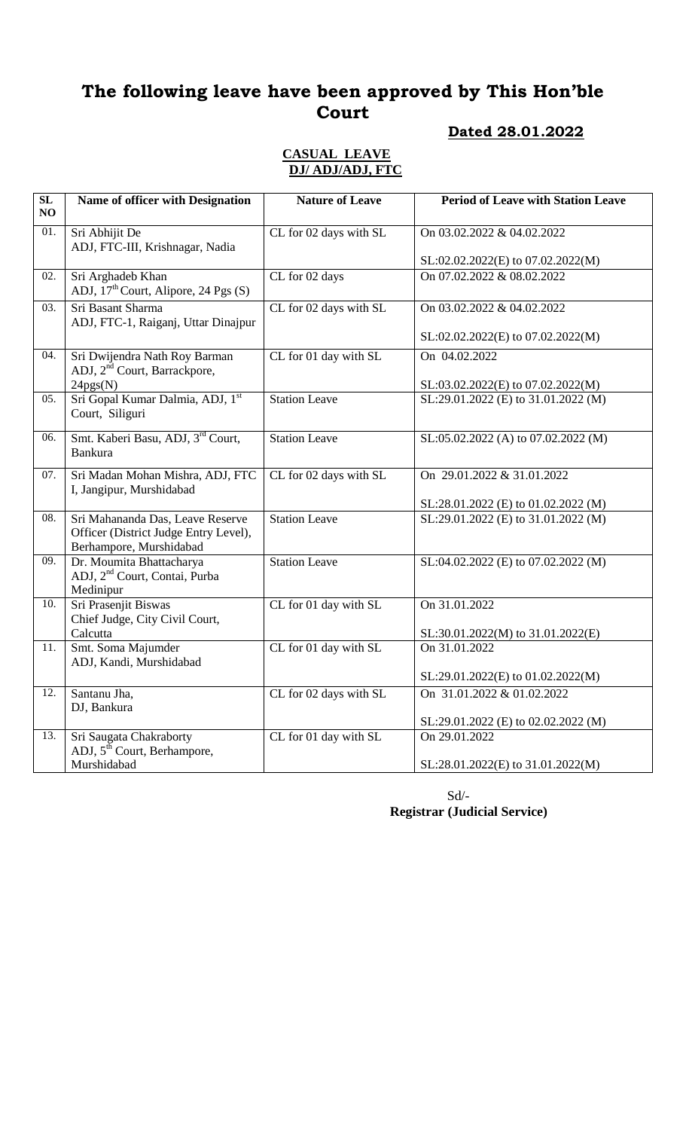# **Dated 28.01.2022**

#### **CASUAL LEAVE DJ/ ADJ/ADJ, FTC**

| $\overline{\text{SL}}$<br>NO | Name of officer with Designation                                                                     | <b>Nature of Leave</b> | <b>Period of Leave with Station Leave</b> |
|------------------------------|------------------------------------------------------------------------------------------------------|------------------------|-------------------------------------------|
| 01.                          | Sri Abhijit De<br>ADJ, FTC-III, Krishnagar, Nadia                                                    | CL for 02 days with SL | On 03.02.2022 & 04.02.2022                |
|                              |                                                                                                      |                        | SL:02.02.2022(E) to 07.02.2022(M)         |
| 02.                          | Sri Arghadeb Khan<br>ADJ, 17 <sup>th</sup> Court, Alipore, 24 Pgs (S)                                | CL for 02 days         | On 07.02.2022 & 08.02.2022                |
| $\overline{03}$ .            | Sri Basant Sharma<br>ADJ, FTC-1, Raiganj, Uttar Dinajpur                                             | CL for 02 days with SL | On 03.02.2022 & 04.02.2022                |
|                              |                                                                                                      |                        | SL:02.02.2022(E) to 07.02.2022(M)         |
| 04.                          | Sri Dwijendra Nath Roy Barman<br>ADJ, 2 <sup>nd</sup> Court, Barrackpore,                            | CL for 01 day with SL  | On 04.02.2022                             |
|                              | 24pgs(N)                                                                                             |                        | SL:03.02.2022(E) to 07.02.2022(M)         |
| 05.                          | Sri Gopal Kumar Dalmia, ADJ, 1st<br>Court, Siliguri                                                  | <b>Station Leave</b>   | SL:29.01.2022 (E) to 31.01.2022 (M)       |
| 06.                          | Smt. Kaberi Basu, ADJ, 3 <sup>rd</sup> Court,<br><b>Bankura</b>                                      | <b>Station Leave</b>   | SL:05.02.2022 (A) to 07.02.2022 (M)       |
| 07.                          | Sri Madan Mohan Mishra, ADJ, FTC<br>I, Jangipur, Murshidabad                                         | CL for 02 days with SL | On 29.01.2022 & 31.01.2022                |
|                              |                                                                                                      |                        | SL:28.01.2022 (E) to 01.02.2022 (M)       |
| 08.                          | Sri Mahananda Das, Leave Reserve<br>Officer (District Judge Entry Level),<br>Berhampore, Murshidabad | <b>Station Leave</b>   | SL:29.01.2022 (E) to 31.01.2022 (M)       |
| 09.                          | Dr. Moumita Bhattacharya<br>ADJ, 2 <sup>nd</sup> Court, Contai, Purba<br>Medinipur                   | <b>Station Leave</b>   | SL:04.02.2022 (E) to 07.02.2022 (M)       |
| 10.                          | Sri Prasenjit Biswas<br>Chief Judge, City Civil Court,                                               | CL for 01 day with SL  | On 31.01.2022                             |
|                              | Calcutta                                                                                             |                        | SL:30.01.2022(M) to 31.01.2022(E)         |
| $\overline{11}$ .            | Smt. Soma Majumder                                                                                   | CL for 01 day with SL  | On 31.01.2022                             |
|                              | ADJ, Kandi, Murshidabad                                                                              |                        | SL:29.01.2022(E) to 01.02.2022(M)         |
| 12.                          | Santanu Jha,                                                                                         | CL for 02 days with SL | On 31.01.2022 & 01.02.2022                |
|                              | DJ, Bankura                                                                                          |                        | SL:29.01.2022 (E) to 02.02.2022 (M)       |
| 13.                          | Sri Saugata Chakraborty<br>ADJ, 5 <sup>th</sup> Court, Berhampore,                                   | CL for 01 day with SL  | On 29.01.2022                             |
|                              | Murshidabad                                                                                          |                        | SL:28.01.2022(E) to 31.01.2022(M)         |

 Sd/-  **Registrar (Judicial Service)**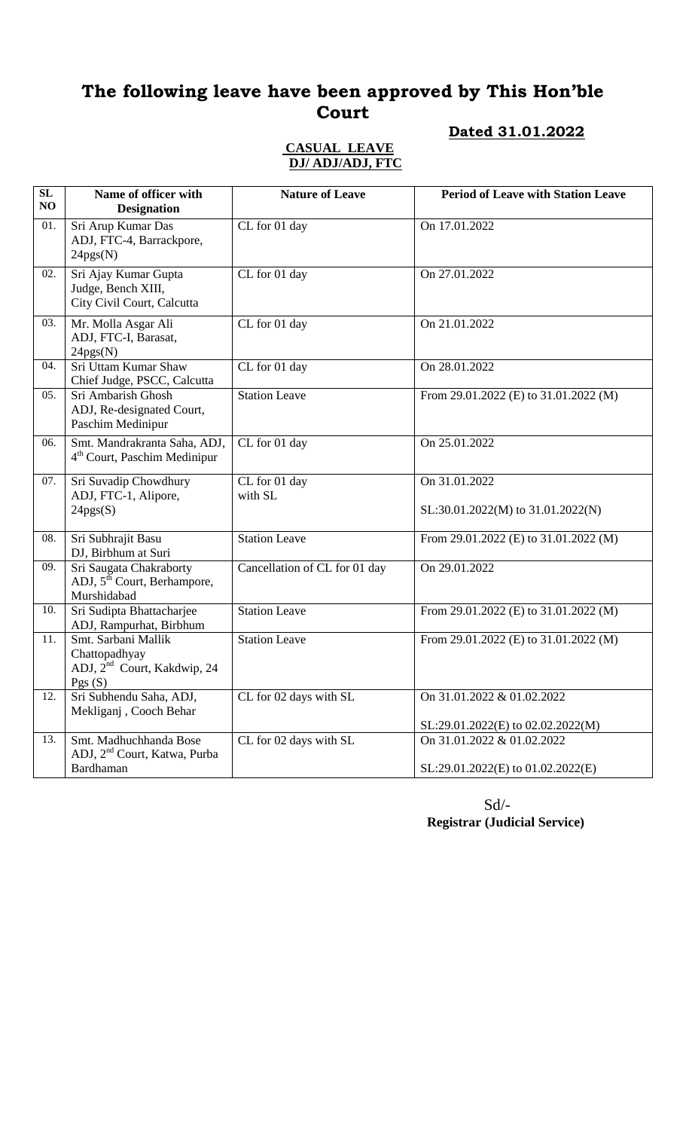### **Dated 31.01.2022**

#### **CASUAL LEAVE DJ/ ADJ/ADJ, FTC**

| SL<br>NO | Name of officer with<br><b>Designation</b>                                                | <b>Nature of Leave</b>        | <b>Period of Leave with Station Leave</b>                       |
|----------|-------------------------------------------------------------------------------------------|-------------------------------|-----------------------------------------------------------------|
| 01.      | Sri Arup Kumar Das<br>ADJ, FTC-4, Barrackpore,<br>24pgs(N)                                | CL for 01 day                 | On 17.01.2022                                                   |
| 02.      | Sri Ajay Kumar Gupta<br>Judge, Bench XIII,<br>City Civil Court, Calcutta                  | CL for 01 day                 | On 27.01.2022                                                   |
| 03.      | Mr. Molla Asgar Ali<br>ADJ, FTC-I, Barasat,<br>24pgs(N)                                   | CL for 01 day                 | On 21.01.2022                                                   |
| 04.      | Sri Uttam Kumar Shaw<br>Chief Judge, PSCC, Calcutta                                       | CL for 01 day                 | On 28.01.2022                                                   |
| 05.      | Sri Ambarish Ghosh<br>ADJ, Re-designated Court,<br>Paschim Medinipur                      | <b>Station Leave</b>          | From 29.01.2022 (E) to 31.01.2022 (M)                           |
| 06.      | Smt. Mandrakranta Saha, ADJ,<br>4 <sup>th</sup> Court, Paschim Medinipur                  | CL for 01 day                 | On 25.01.2022                                                   |
| 07.      | Sri Suvadip Chowdhury<br>ADJ, FTC-1, Alipore,<br>24pgs(S)                                 | CL for 01 day<br>with SL      | On 31.01.2022<br>SL:30.01.2022(M) to 31.01.2022(N)              |
| 08.      | Sri Subhrajit Basu<br>DJ, Birbhum at Suri                                                 | <b>Station Leave</b>          | From 29.01.2022 (E) to 31.01.2022 (M)                           |
| 09.      | Sri Saugata Chakraborty<br>ADJ, 5 <sup>th</sup> Court, Berhampore,<br>Murshidabad         | Cancellation of CL for 01 day | On 29.01.2022                                                   |
| 10.      | Sri Sudipta Bhattacharjee<br>ADJ, Rampurhat, Birbhum                                      | <b>Station Leave</b>          | From 29.01.2022 (E) to 31.01.2022 (M)                           |
| 11.      | Smt. Sarbani Mallik<br>Chattopadhyay<br>ADJ, 2 <sup>nd</sup> Court, Kakdwip, 24<br>Pgs(S) | Station Leave                 | From 29.01.2022 (E) to $31.01.2022$ (M)                         |
| 12.      | Sri Subhendu Saha, ADJ,<br>Mekliganj, Cooch Behar                                         | CL for 02 days with SL        | On 31.01.2022 & 01.02.2022<br>SL:29.01.2022(E) to 02.02.2022(M) |
| 13.      | Smt. Madhuchhanda Bose<br>ADJ, 2 <sup>nd</sup> Court, Katwa, Purba<br>Bardhaman           | CL for 02 days with SL        | On 31.01.2022 & 01.02.2022<br>SL:29.01.2022(E) to 01.02.2022(E) |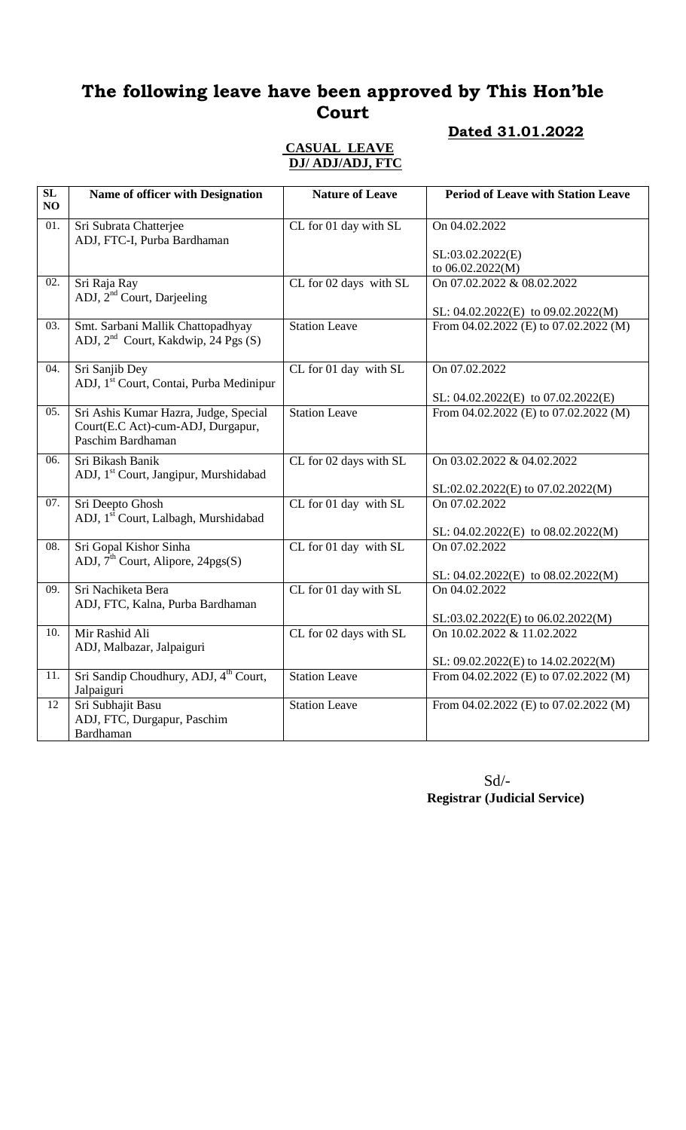### **Dated 31.01.2022**

#### **CASUAL LEAVE DJ/ ADJ/ADJ, FTC**

| SL<br>NO          | Name of officer with Designation                                                                | <b>Nature of Leave</b> | <b>Period of Leave with Station Leave</b>                                   |
|-------------------|-------------------------------------------------------------------------------------------------|------------------------|-----------------------------------------------------------------------------|
| 01.               | Sri Subrata Chatterjee<br>ADJ, FTC-I, Purba Bardhaman                                           | CL for 01 day with SL  | On 04.02.2022                                                               |
|                   |                                                                                                 |                        | SL:03.02.2022(E)<br>to 06.02.2022(M)                                        |
| $\overline{02}$ . | Sri Raja Ray<br>ADJ, 2 <sup>nd</sup> Court, Darjeeling                                          | CL for 02 days with SL | On 07.02.2022 & 08.02.2022                                                  |
| 03.               | Smt. Sarbani Mallik Chattopadhyay<br>ADJ, 2 <sup>nd</sup> Court, Kakdwip, 24 Pgs (S)            | <b>Station Leave</b>   | SL: 04.02.2022(E) to 09.02.2022(M)<br>From 04.02.2022 (E) to 07.02.2022 (M) |
| 04.               | Sri Sanjib Dey<br>ADJ, 1 <sup>st</sup> Court, Contai, Purba Medinipur                           | CL for 01 day with SL  | On 07.02.2022                                                               |
|                   |                                                                                                 |                        | SL: $04.02.2022(E)$ to $07.02.2022(E)$                                      |
| 05.               | Sri Ashis Kumar Hazra, Judge, Special<br>Court(E.C Act)-cum-ADJ, Durgapur,<br>Paschim Bardhaman | <b>Station Leave</b>   | From 04.02.2022 (E) to 07.02.2022 (M)                                       |
| 06.               | Sri Bikash Banik<br>ADJ, 1 <sup>st</sup> Court, Jangipur, Murshidabad                           | CL for 02 days with SL | On 03.02.2022 & 04.02.2022                                                  |
| 07.               | Sri Deepto Ghosh                                                                                | CL for 01 day with SL  | SL:02.02.2022(E) to 07.02.2022(M)<br>On 07.02.2022                          |
|                   | ADJ, 1 <sup>st</sup> Court, Lalbagh, Murshidabad                                                |                        | SL: $04.02.2022(E)$ to $08.02.2022(M)$                                      |
| 08.               | Sri Gopal Kishor Sinha<br>ADJ, $\hat{\mathcal{I}}^{\text{th}}$ Court, Alipore, 24pgs(S)         | CL for 01 day with SL  | On 07.02.2022                                                               |
|                   |                                                                                                 |                        | SL: 04.02.2022(E) to 08.02.2022(M)                                          |
| 09.               | Sri Nachiketa Bera<br>ADJ, FTC, Kalna, Purba Bardhaman                                          | CL for 01 day with SL  | On 04.02.2022                                                               |
|                   |                                                                                                 |                        | SL:03.02.2022(E) to 06.02.2022(M)                                           |
| 10.               | Mir Rashid Ali<br>ADJ, Malbazar, Jalpaiguri                                                     | CL for 02 days with SL | On 10.02.2022 & 11.02.2022                                                  |
| 11.               | Sri Sandip Choudhury, ADJ, 4 <sup>th</sup> Court,                                               | <b>Station Leave</b>   | SL: 09.02.2022(E) to 14.02.2022(M)                                          |
|                   | Jalpaiguri                                                                                      |                        | From 04.02.2022 (E) to 07.02.2022 (M)                                       |
| 12                | Sri Subhajit Basu<br>ADJ, FTC, Durgapur, Paschim<br>Bardhaman                                   | <b>Station Leave</b>   | From 04.02.2022 (E) to 07.02.2022 (M)                                       |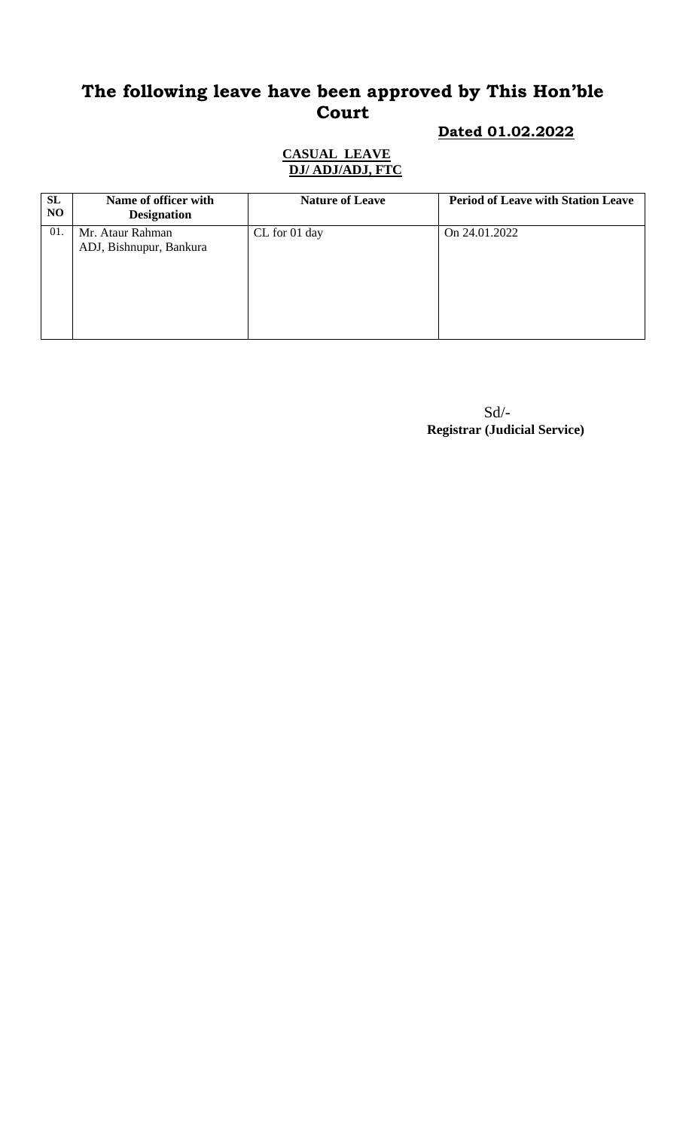# **Dated 01.02.2022**

#### **CASUAL LEAVE DJ/ ADJ/ADJ, FTC**

| SL<br>N <sub>O</sub> | Name of officer with<br><b>Designation</b>  | <b>Nature of Leave</b> | <b>Period of Leave with Station Leave</b> |
|----------------------|---------------------------------------------|------------------------|-------------------------------------------|
| 01.                  | Mr. Ataur Rahman<br>ADJ, Bishnupur, Bankura | CL for 01 day          | On 24.01.2022                             |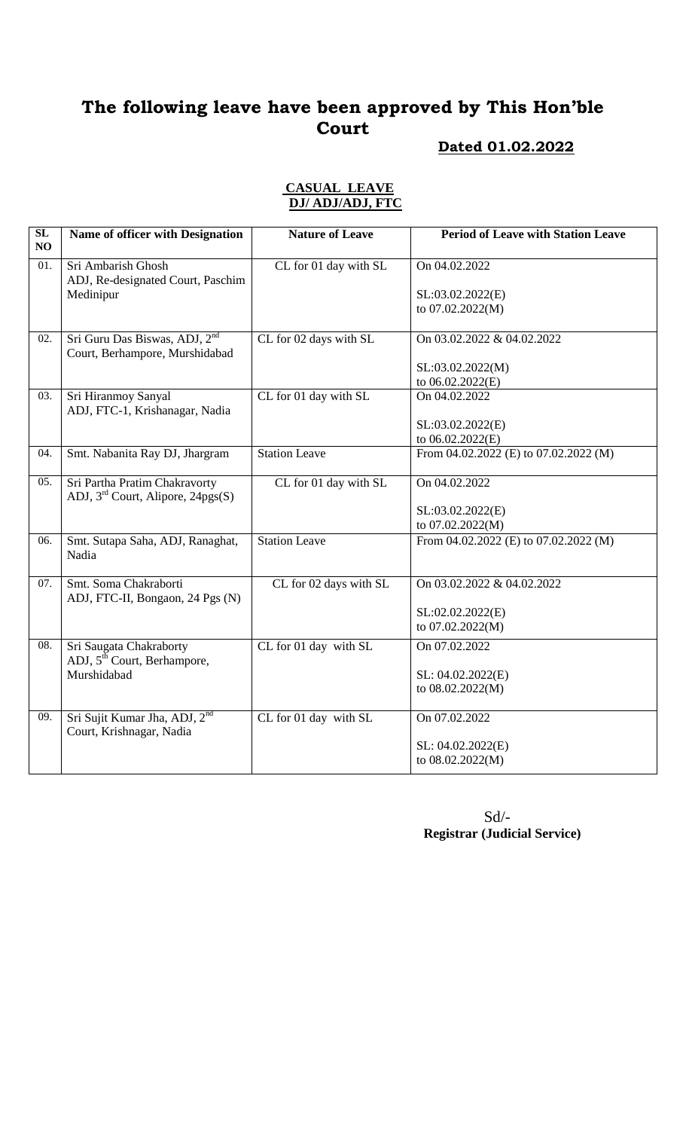## **Dated 01.02.2022**

#### **CASUAL LEAVE DJ/ ADJ/ADJ, FTC**

| Sri Ambarish Ghosh<br>CL for 01 day with SL<br>On 04.02.2022<br>01.<br>ADJ, Re-designated Court, Paschim<br>Medinipur<br>SL:03.02.2022(E)<br>to 07.02.2022(M)<br>Sri Guru Das Biswas, ADJ, 2 <sup>nd</sup><br>02.<br>CL for 02 days with SL<br>On 03.02.2022 & 04.02.2022<br>Court, Berhampore, Murshidabad<br>SL:03.02.2022(M)<br>to 06.02.2022(E)<br>03.<br>Sri Hiranmoy Sanyal<br>CL for 01 day with SL<br>On 04.02.2022<br>ADJ, FTC-1, Krishanagar, Nadia<br>SL:03.02.2022(E)<br>to 06.02.2022(E)<br>Smt. Nabanita Ray DJ, Jhargram<br><b>Station Leave</b><br>From 04.02.2022 (E) to 07.02.2022 (M)<br>04.<br>Sri Partha Pratim Chakravorty<br>On 04.02.2022<br>CL for 01 day with SL<br>05.<br>ADJ, $3rd$ Court, Alipore, 24pgs(S)<br>SL:03.02.2022(E)<br>to 07.02.2022(M)<br><b>Station Leave</b><br>Smt. Sutapa Saha, ADJ, Ranaghat,<br>From 04.02.2022 (E) to 07.02.2022 (M)<br>06.<br>Nadia<br>07.<br>Smt. Soma Chakraborti<br>CL for 02 days with SL<br>On 03.02.2022 & 04.02.2022<br>ADJ, FTC-II, Bongaon, 24 Pgs (N)<br>SL:02.02.2022(E)<br>to 07.02.2022(M)<br>Sri Saugata Chakraborty<br>08.<br>CL for 01 day with SL<br>On 07.02.2022<br>ADJ, 5 <sup>th</sup> Court, Berhampore,<br>Murshidabad<br>SL: 04.02.2022(E)<br>to 08.02.2022(M)<br>Sri Sujit Kumar Jha, ADJ, 2 <sup>nd</sup><br>On 07.02.2022<br>09.<br>CL for 01 day with SL<br>Court, Krishnagar, Nadia<br>SL: 04.02.2022(E)<br>to 08.02.2022(M) | SL | Name of officer with Designation | <b>Nature of Leave</b> | <b>Period of Leave with Station Leave</b> |
|-----------------------------------------------------------------------------------------------------------------------------------------------------------------------------------------------------------------------------------------------------------------------------------------------------------------------------------------------------------------------------------------------------------------------------------------------------------------------------------------------------------------------------------------------------------------------------------------------------------------------------------------------------------------------------------------------------------------------------------------------------------------------------------------------------------------------------------------------------------------------------------------------------------------------------------------------------------------------------------------------------------------------------------------------------------------------------------------------------------------------------------------------------------------------------------------------------------------------------------------------------------------------------------------------------------------------------------------------------------------------------------------------------------------------------|----|----------------------------------|------------------------|-------------------------------------------|
|                                                                                                                                                                                                                                                                                                                                                                                                                                                                                                                                                                                                                                                                                                                                                                                                                                                                                                                                                                                                                                                                                                                                                                                                                                                                                                                                                                                                                             | NO |                                  |                        |                                           |
|                                                                                                                                                                                                                                                                                                                                                                                                                                                                                                                                                                                                                                                                                                                                                                                                                                                                                                                                                                                                                                                                                                                                                                                                                                                                                                                                                                                                                             |    |                                  |                        |                                           |
|                                                                                                                                                                                                                                                                                                                                                                                                                                                                                                                                                                                                                                                                                                                                                                                                                                                                                                                                                                                                                                                                                                                                                                                                                                                                                                                                                                                                                             |    |                                  |                        |                                           |
|                                                                                                                                                                                                                                                                                                                                                                                                                                                                                                                                                                                                                                                                                                                                                                                                                                                                                                                                                                                                                                                                                                                                                                                                                                                                                                                                                                                                                             |    |                                  |                        |                                           |
|                                                                                                                                                                                                                                                                                                                                                                                                                                                                                                                                                                                                                                                                                                                                                                                                                                                                                                                                                                                                                                                                                                                                                                                                                                                                                                                                                                                                                             |    |                                  |                        |                                           |
|                                                                                                                                                                                                                                                                                                                                                                                                                                                                                                                                                                                                                                                                                                                                                                                                                                                                                                                                                                                                                                                                                                                                                                                                                                                                                                                                                                                                                             |    |                                  |                        |                                           |
|                                                                                                                                                                                                                                                                                                                                                                                                                                                                                                                                                                                                                                                                                                                                                                                                                                                                                                                                                                                                                                                                                                                                                                                                                                                                                                                                                                                                                             |    |                                  |                        |                                           |
|                                                                                                                                                                                                                                                                                                                                                                                                                                                                                                                                                                                                                                                                                                                                                                                                                                                                                                                                                                                                                                                                                                                                                                                                                                                                                                                                                                                                                             |    |                                  |                        |                                           |
|                                                                                                                                                                                                                                                                                                                                                                                                                                                                                                                                                                                                                                                                                                                                                                                                                                                                                                                                                                                                                                                                                                                                                                                                                                                                                                                                                                                                                             |    |                                  |                        |                                           |
|                                                                                                                                                                                                                                                                                                                                                                                                                                                                                                                                                                                                                                                                                                                                                                                                                                                                                                                                                                                                                                                                                                                                                                                                                                                                                                                                                                                                                             |    |                                  |                        |                                           |
|                                                                                                                                                                                                                                                                                                                                                                                                                                                                                                                                                                                                                                                                                                                                                                                                                                                                                                                                                                                                                                                                                                                                                                                                                                                                                                                                                                                                                             |    |                                  |                        |                                           |
|                                                                                                                                                                                                                                                                                                                                                                                                                                                                                                                                                                                                                                                                                                                                                                                                                                                                                                                                                                                                                                                                                                                                                                                                                                                                                                                                                                                                                             |    |                                  |                        |                                           |
|                                                                                                                                                                                                                                                                                                                                                                                                                                                                                                                                                                                                                                                                                                                                                                                                                                                                                                                                                                                                                                                                                                                                                                                                                                                                                                                                                                                                                             |    |                                  |                        |                                           |
|                                                                                                                                                                                                                                                                                                                                                                                                                                                                                                                                                                                                                                                                                                                                                                                                                                                                                                                                                                                                                                                                                                                                                                                                                                                                                                                                                                                                                             |    |                                  |                        |                                           |
|                                                                                                                                                                                                                                                                                                                                                                                                                                                                                                                                                                                                                                                                                                                                                                                                                                                                                                                                                                                                                                                                                                                                                                                                                                                                                                                                                                                                                             |    |                                  |                        |                                           |
|                                                                                                                                                                                                                                                                                                                                                                                                                                                                                                                                                                                                                                                                                                                                                                                                                                                                                                                                                                                                                                                                                                                                                                                                                                                                                                                                                                                                                             |    |                                  |                        |                                           |
|                                                                                                                                                                                                                                                                                                                                                                                                                                                                                                                                                                                                                                                                                                                                                                                                                                                                                                                                                                                                                                                                                                                                                                                                                                                                                                                                                                                                                             |    |                                  |                        |                                           |
|                                                                                                                                                                                                                                                                                                                                                                                                                                                                                                                                                                                                                                                                                                                                                                                                                                                                                                                                                                                                                                                                                                                                                                                                                                                                                                                                                                                                                             |    |                                  |                        |                                           |
|                                                                                                                                                                                                                                                                                                                                                                                                                                                                                                                                                                                                                                                                                                                                                                                                                                                                                                                                                                                                                                                                                                                                                                                                                                                                                                                                                                                                                             |    |                                  |                        |                                           |
|                                                                                                                                                                                                                                                                                                                                                                                                                                                                                                                                                                                                                                                                                                                                                                                                                                                                                                                                                                                                                                                                                                                                                                                                                                                                                                                                                                                                                             |    |                                  |                        |                                           |
|                                                                                                                                                                                                                                                                                                                                                                                                                                                                                                                                                                                                                                                                                                                                                                                                                                                                                                                                                                                                                                                                                                                                                                                                                                                                                                                                                                                                                             |    |                                  |                        |                                           |
|                                                                                                                                                                                                                                                                                                                                                                                                                                                                                                                                                                                                                                                                                                                                                                                                                                                                                                                                                                                                                                                                                                                                                                                                                                                                                                                                                                                                                             |    |                                  |                        |                                           |
|                                                                                                                                                                                                                                                                                                                                                                                                                                                                                                                                                                                                                                                                                                                                                                                                                                                                                                                                                                                                                                                                                                                                                                                                                                                                                                                                                                                                                             |    |                                  |                        |                                           |
|                                                                                                                                                                                                                                                                                                                                                                                                                                                                                                                                                                                                                                                                                                                                                                                                                                                                                                                                                                                                                                                                                                                                                                                                                                                                                                                                                                                                                             |    |                                  |                        |                                           |
|                                                                                                                                                                                                                                                                                                                                                                                                                                                                                                                                                                                                                                                                                                                                                                                                                                                                                                                                                                                                                                                                                                                                                                                                                                                                                                                                                                                                                             |    |                                  |                        |                                           |
|                                                                                                                                                                                                                                                                                                                                                                                                                                                                                                                                                                                                                                                                                                                                                                                                                                                                                                                                                                                                                                                                                                                                                                                                                                                                                                                                                                                                                             |    |                                  |                        |                                           |
|                                                                                                                                                                                                                                                                                                                                                                                                                                                                                                                                                                                                                                                                                                                                                                                                                                                                                                                                                                                                                                                                                                                                                                                                                                                                                                                                                                                                                             |    |                                  |                        |                                           |
|                                                                                                                                                                                                                                                                                                                                                                                                                                                                                                                                                                                                                                                                                                                                                                                                                                                                                                                                                                                                                                                                                                                                                                                                                                                                                                                                                                                                                             |    |                                  |                        |                                           |
|                                                                                                                                                                                                                                                                                                                                                                                                                                                                                                                                                                                                                                                                                                                                                                                                                                                                                                                                                                                                                                                                                                                                                                                                                                                                                                                                                                                                                             |    |                                  |                        |                                           |
|                                                                                                                                                                                                                                                                                                                                                                                                                                                                                                                                                                                                                                                                                                                                                                                                                                                                                                                                                                                                                                                                                                                                                                                                                                                                                                                                                                                                                             |    |                                  |                        |                                           |
|                                                                                                                                                                                                                                                                                                                                                                                                                                                                                                                                                                                                                                                                                                                                                                                                                                                                                                                                                                                                                                                                                                                                                                                                                                                                                                                                                                                                                             |    |                                  |                        |                                           |
|                                                                                                                                                                                                                                                                                                                                                                                                                                                                                                                                                                                                                                                                                                                                                                                                                                                                                                                                                                                                                                                                                                                                                                                                                                                                                                                                                                                                                             |    |                                  |                        |                                           |
|                                                                                                                                                                                                                                                                                                                                                                                                                                                                                                                                                                                                                                                                                                                                                                                                                                                                                                                                                                                                                                                                                                                                                                                                                                                                                                                                                                                                                             |    |                                  |                        |                                           |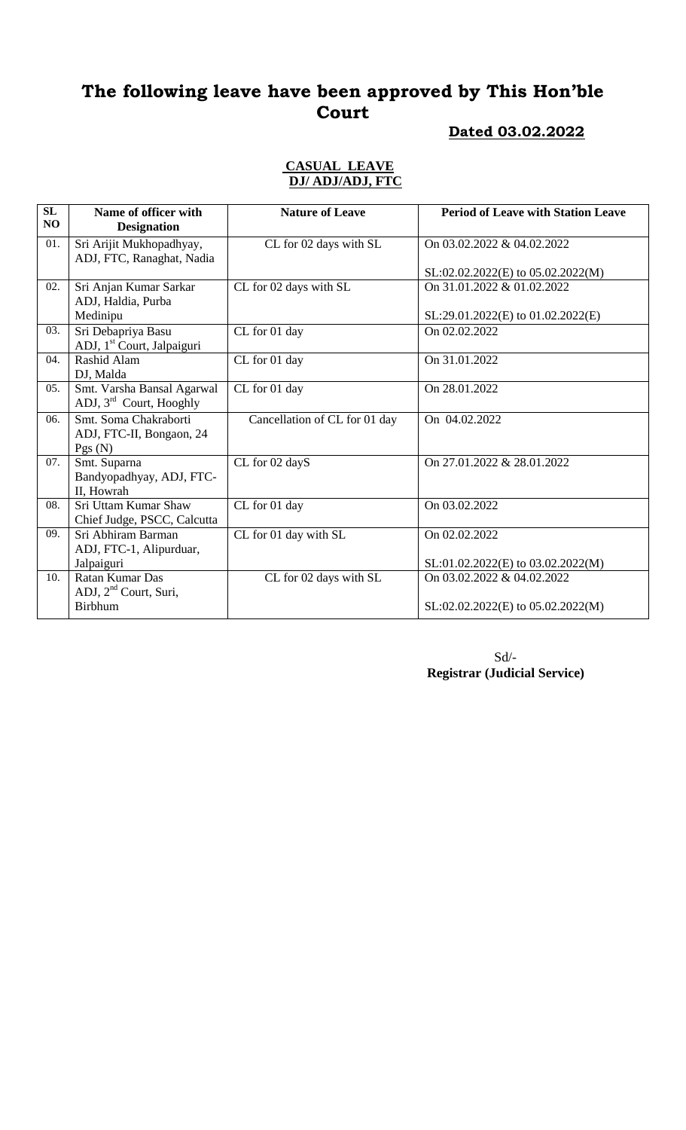#### **Dated 03.02.2022**

#### **CASUAL LEAVE DJ/ ADJ/ADJ, FTC**

| SL<br>NO | Name of officer with<br><b>Designation</b>                        | <b>Nature of Leave</b>        | <b>Period of Leave with Station Leave</b> |
|----------|-------------------------------------------------------------------|-------------------------------|-------------------------------------------|
| 01.      | Sri Arijit Mukhopadhyay,<br>ADJ, FTC, Ranaghat, Nadia             | CL for 02 days with SL        | On 03.02.2022 & 04.02.2022                |
|          |                                                                   |                               | SL:02.02.2022(E) to 05.02.2022(M)         |
| 02.      | Sri Anjan Kumar Sarkar                                            | CL for 02 days with SL        | On 31.01.2022 & 01.02.2022                |
|          | ADJ, Haldia, Purba<br>Medinipu                                    |                               | SL:29.01.2022(E) to 01.02.2022(E)         |
| 03.      | Sri Debapriya Basu<br>ADJ, 1 <sup>st</sup> Court, Jalpaiguri      | CL for 01 day                 | On 02.02.2022                             |
| 04.      | Rashid Alam<br>DJ, Malda                                          | CL for 01 day                 | On 31.01.2022                             |
| 05.      | Smt. Varsha Bansal Agarwal<br>ADJ, $3^{\text{rd}}$ Court, Hooghly | CL for 01 day                 | On 28.01.2022                             |
| 06.      | Smt. Soma Chakraborti<br>ADJ, FTC-II, Bongaon, 24<br>Pgs(N)       | Cancellation of CL for 01 day | On 04.02.2022                             |
| 07.      | Smt. Suparna<br>Bandyopadhyay, ADJ, FTC-<br>II, Howrah            | CL for 02 dayS                | On 27.01.2022 & 28.01.2022                |
| 08.      | Sri Uttam Kumar Shaw<br>Chief Judge, PSCC, Calcutta               | CL for 01 day                 | On 03.02.2022                             |
| 09.      | Sri Abhiram Barman<br>ADJ, FTC-1, Alipurduar,                     | CL for 01 day with SL         | On 02.02.2022                             |
|          | Jalpaiguri                                                        |                               | SL:01.02.2022(E) to 03.02.2022(M)         |
| 10.      | Ratan Kumar Das                                                   | CL for 02 days with SL        | On 03.02.2022 & 04.02.2022                |
|          | ADJ, 2 <sup>nd</sup> Court, Suri,<br><b>Birbhum</b>               |                               | SL:02.02.2022(E) to 05.02.2022(M)         |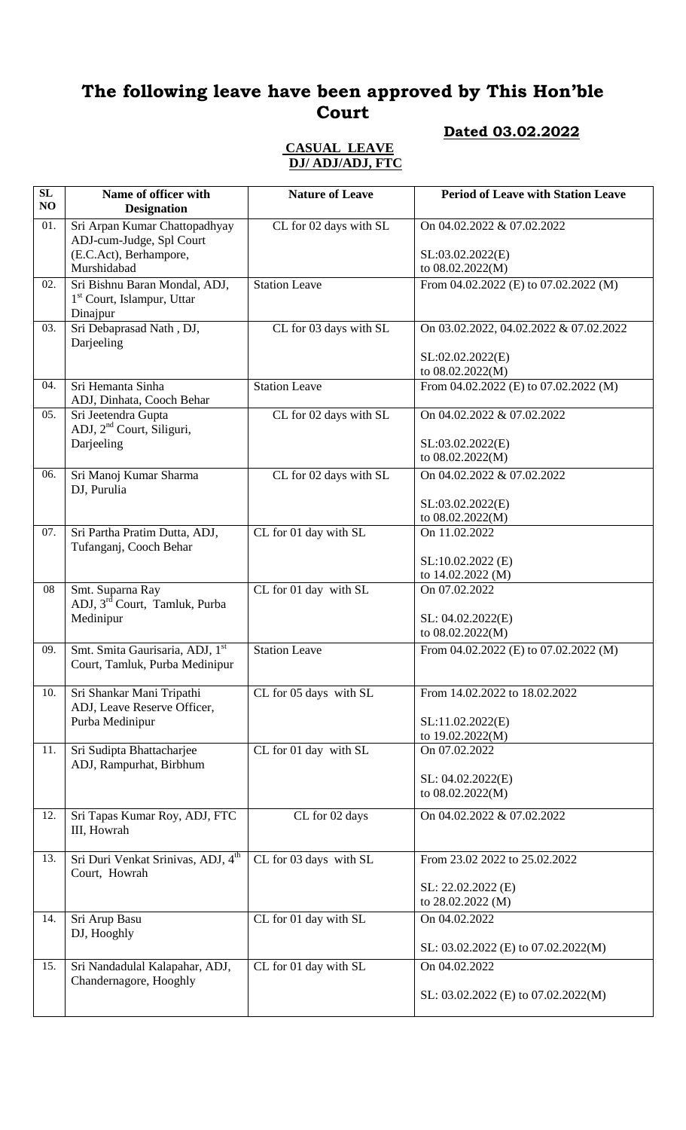# **Dated 03.02.2022**

#### **CASUAL LEAVE DJ/ ADJ/ADJ, FTC**

| SL<br>NO | Name of officer with<br><b>Designation</b>                                                         | <b>Nature of Leave</b> | <b>Period of Leave with Station Leave</b>                                      |
|----------|----------------------------------------------------------------------------------------------------|------------------------|--------------------------------------------------------------------------------|
| 01.      | Sri Arpan Kumar Chattopadhyay<br>ADJ-cum-Judge, Spl Court<br>(E.C.Act), Berhampore,<br>Murshidabad | CL for 02 days with SL | On 04.02.2022 & 07.02.2022<br>SL:03.02.2022(E)<br>to 08.02.2022(M)             |
| 02.      | Sri Bishnu Baran Mondal, ADJ,<br>1 <sup>st</sup> Court, Islampur, Uttar<br>Dinajpur                | <b>Station Leave</b>   | From 04.02.2022 (E) to 07.02.2022 (M)                                          |
| 03.      | Sri Debaprasad Nath, DJ,<br>Darjeeling                                                             | CL for 03 days with SL | On 03.02.2022, 04.02.2022 & 07.02.2022<br>SL:02.02.2022(E)<br>to 08.02.2022(M) |
| 04.      | Sri Hemanta Sinha<br>ADJ, Dinhata, Cooch Behar                                                     | <b>Station Leave</b>   | From 04.02.2022 (E) to 07.02.2022 (M)                                          |
| 05.      | Sri Jeetendra Gupta<br>ADJ, 2 <sup>nd</sup> Court, Siliguri,<br>Darjeeling                         | CL for 02 days with SL | On 04.02.2022 & 07.02.2022<br>SL:03.02.2022(E)                                 |
| 06.      | Sri Manoj Kumar Sharma                                                                             | CL for 02 days with SL | to 08.02.2022(M)<br>On 04.02.2022 & 07.02.2022                                 |
|          | DJ, Purulia                                                                                        |                        | SL:03.02.2022(E)<br>to 08.02.2022(M)                                           |
| 07.      | Sri Partha Pratim Dutta, ADJ,<br>Tufanganj, Cooch Behar                                            | CL for 01 day with SL  | On 11.02.2022<br>$SL:10.02.2022$ (E)                                           |
|          |                                                                                                    |                        | to 14.02.2022 (M)                                                              |
| 08       | Smt. Suparna Ray<br>ADJ, 3 <sup>rd</sup> Court, Tamluk, Purba<br>Medinipur                         | CL for 01 day with SL  | On 07.02.2022<br>SL: 04.02.2022(E)                                             |
|          |                                                                                                    |                        | to 08.02.2022(M)                                                               |
| 09.      | Smt. Smita Gaurisaria, ADJ, 1st<br>Court, Tamluk, Purba Medinipur                                  | <b>Station Leave</b>   | From $04.02.2022$ (E) to $07.02.2022$ (M)                                      |
| 10.      | Sri Shankar Mani Tripathi<br>ADJ, Leave Reserve Officer,                                           | CL for 05 days with SL | From 14.02.2022 to 18.02.2022<br>SL:11.02.2022(E)                              |
|          | Purba Medinipur                                                                                    |                        | to 19.02.2022(M)                                                               |
| 11.      | Sri Sudipta Bhattacharjee<br>ADJ, Rampurhat, Birbhum                                               | CL for 01 day with SL  | On 07.02.2022<br>SL: 04.02.2022(E)                                             |
|          |                                                                                                    |                        | to 08.02.2022(M)                                                               |
| 12.      | Sri Tapas Kumar Roy, ADJ, FTC<br>III, Howrah                                                       | CL for 02 days         | On 04.02.2022 & 07.02.2022                                                     |
| 13.      | Sri Duri Venkat Srinivas, ADJ, 4 <sup>th</sup><br>Court, Howrah                                    | CL for 03 days with SL | From 23.02 2022 to 25.02.2022<br>SL: 22.02.2022 (E)                            |
|          |                                                                                                    |                        | to 28.02.2022 (M)                                                              |
| 14.      | Sri Arup Basu<br>DJ, Hooghly                                                                       | CL for 01 day with SL  | On 04.02.2022<br>SL: 03.02.2022 (E) to 07.02.2022(M)                           |
| 15.      | Sri Nandadulal Kalapahar, ADJ,                                                                     | CL for 01 day with SL  | On 04.02.2022                                                                  |
|          | Chandernagore, Hooghly                                                                             |                        | SL: 03.02.2022 (E) to 07.02.2022(M)                                            |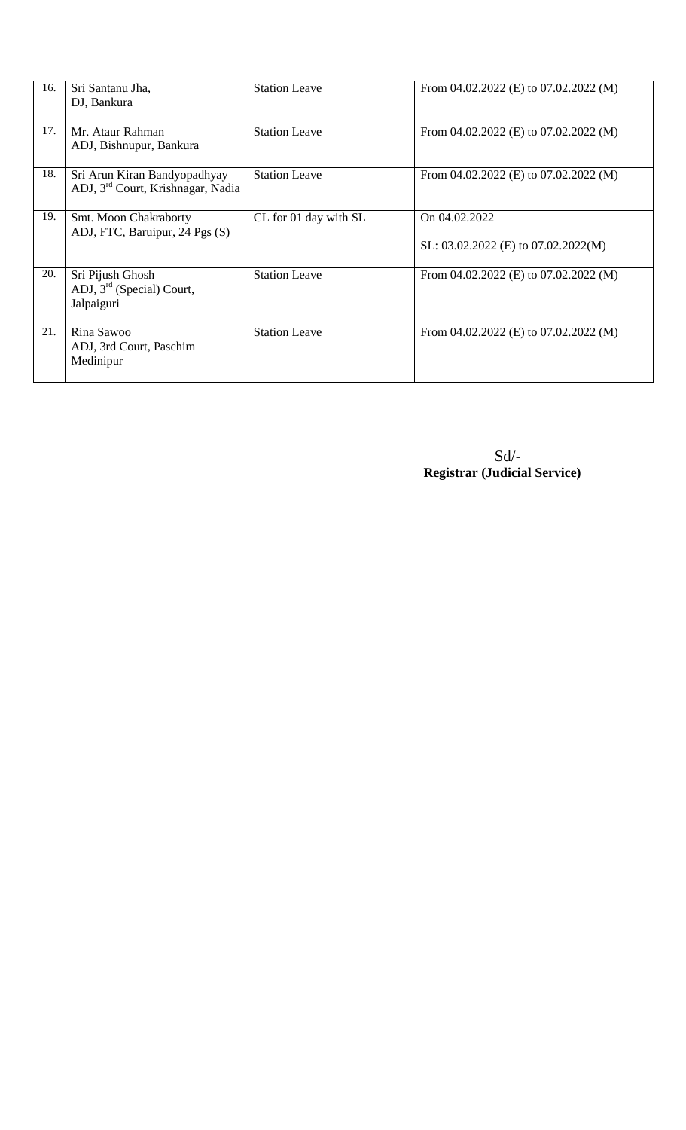| 16. | Sri Santanu Jha,<br>DJ, Bankura                                               | <b>Station Leave</b>  | From $04.02.2022$ (E) to $07.02.2022$ (M)                |
|-----|-------------------------------------------------------------------------------|-----------------------|----------------------------------------------------------|
| 17. | Mr. Ataur Rahman<br>ADJ, Bishnupur, Bankura                                   | <b>Station Leave</b>  | From $04.02.2022$ (E) to $07.02.2022$ (M)                |
| 18. | Sri Arun Kiran Bandyopadhyay<br>ADJ, 3 <sup>rd</sup> Court, Krishnagar, Nadia | <b>Station Leave</b>  | From $04.02.2022$ (E) to $07.02.2022$ (M)                |
| 19. | Smt. Moon Chakraborty<br>ADJ, FTC, Baruipur, 24 Pgs (S)                       | CL for 01 day with SL | On 04.02.2022<br>SL: $03.02.2022$ (E) to $07.02.2022(M)$ |
| 20. | Sri Pijush Ghosh<br>ADJ, $3rd$ (Special) Court,<br>Jalpaiguri                 | <b>Station Leave</b>  | From $04.02.2022$ (E) to $07.02.2022$ (M)                |
| 21. | Rina Sawoo<br>ADJ, 3rd Court, Paschim<br>Medinipur                            | <b>Station Leave</b>  | From $04.02.2022$ (E) to $07.02.2022$ (M)                |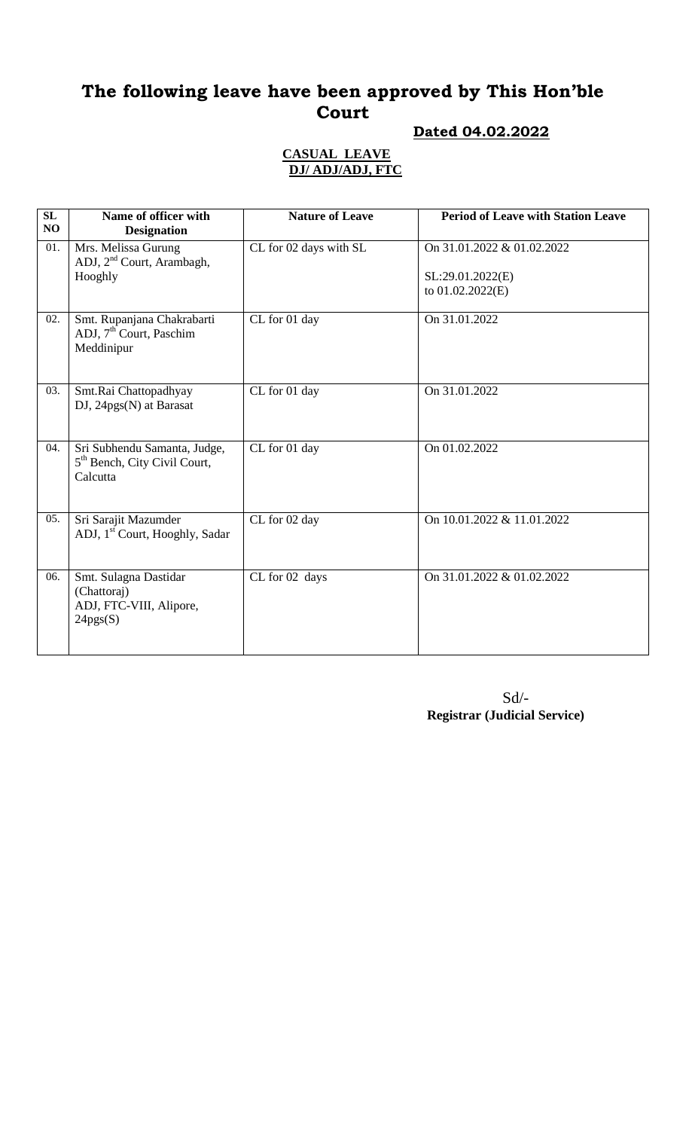## **Dated 04.02.2022**

### **CASUAL LEAVE DJ/ ADJ/ADJ, FTC**

| SL<br>NO | Name of officer with<br><b>Designation</b>                                           | <b>Nature of Leave</b> | <b>Period of Leave with Station Leave</b>                            |
|----------|--------------------------------------------------------------------------------------|------------------------|----------------------------------------------------------------------|
| 01.      | Mrs. Melissa Gurung<br>ADJ, 2 <sup>nd</sup> Court, Arambagh,<br>Hooghly              | CL for 02 days with SL | On 31.01.2022 & 01.02.2022<br>SL:29.01.2022(E)<br>to $01.02.2022(E)$ |
| 02.      | Smt. Rupanjana Chakrabarti<br>ADJ, $7th$ Court, Paschim<br>Meddinipur                | CL for 01 day          | On 31.01.2022                                                        |
| 03.      | Smt.Rai Chattopadhyay<br>DJ, 24pgs(N) at Barasat                                     | CL for 01 day          | On 31.01.2022                                                        |
| 04.      | Sri Subhendu Samanta, Judge,<br>5 <sup>th</sup> Bench, City Civil Court,<br>Calcutta | CL for 01 day          | On 01.02.2022                                                        |
| 05.      | Sri Sarajit Mazumder<br>ADJ, 1 <sup>st</sup> Court, Hooghly, Sadar                   | CL for 02 day          | On 10.01.2022 & 11.01.2022                                           |
| 06.      | Smt. Sulagna Dastidar<br>(Chattoraj)<br>ADJ, FTC-VIII, Alipore,<br>24pgs(S)          | CL for 02 days         | On 31.01.2022 & 01.02.2022                                           |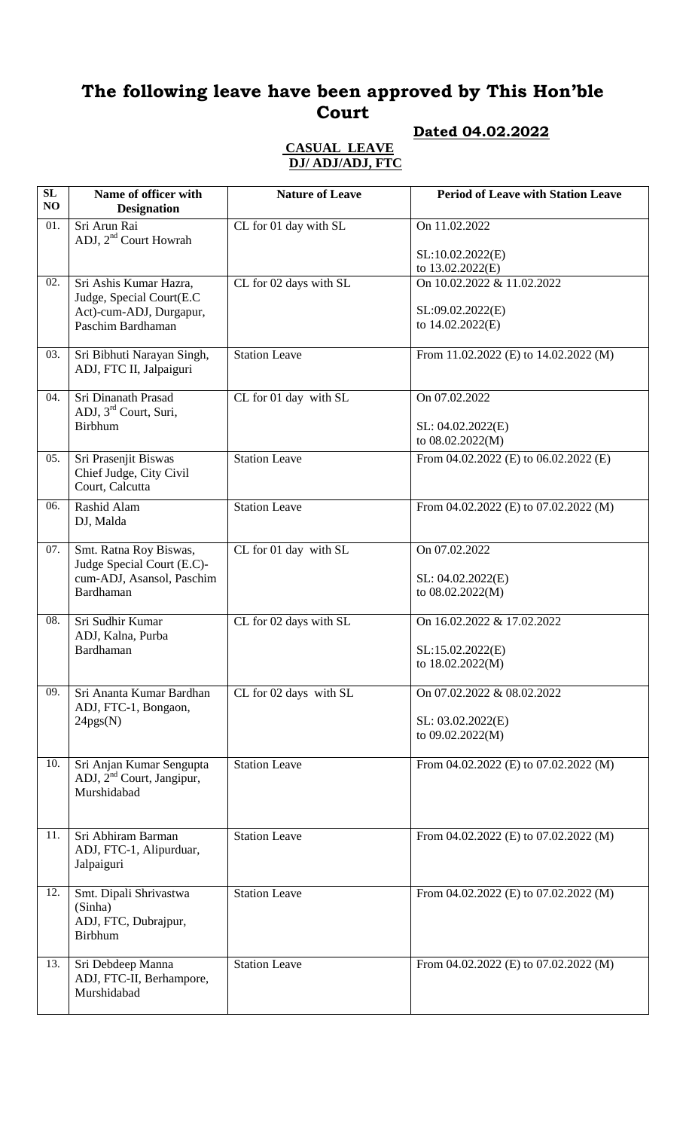## **Dated 04.02.2022**

#### **CASUAL LEAVE DJ/ ADJ/ADJ, FTC**

| SL<br>NO | Name of officer with<br><b>Designation</b>                                                     | <b>Nature of Leave</b> | <b>Period of Leave with Station Leave</b>                           |
|----------|------------------------------------------------------------------------------------------------|------------------------|---------------------------------------------------------------------|
| 01.      | Sri Arun Rai<br>ADJ, 2 <sup>nd</sup> Court Howrah                                              | CL for 01 day with SL  | On 11.02.2022                                                       |
|          |                                                                                                |                        | SL:10.02.2022(E)<br>to 13.02.2022(E)                                |
| 02.      | Sri Ashis Kumar Hazra,<br>Judge, Special Court(E.C.                                            | CL for 02 days with SL | On 10.02.2022 & 11.02.2022                                          |
|          | Act)-cum-ADJ, Durgapur,<br>Paschim Bardhaman                                                   |                        | SL:09.02.2022(E)<br>to 14.02.2022(E)                                |
| 03.      | Sri Bibhuti Narayan Singh,<br>ADJ, FTC II, Jalpaiguri                                          | <b>Station Leave</b>   | From 11.02.2022 (E) to 14.02.2022 (M)                               |
| 04.      | Sri Dinanath Prasad<br>ADJ, 3 <sup>rd</sup> Court, Suri,<br><b>Birbhum</b>                     | CL for 01 day with SL  | On 07.02.2022<br>SL: 04.02.2022(E)<br>to 08.02.2022(M)              |
| 05.      | Sri Prasenjit Biswas<br>Chief Judge, City Civil<br>Court, Calcutta                             | <b>Station Leave</b>   | From $04.02.2022$ (E) to $06.02.2022$ (E)                           |
| 06.      | Rashid Alam<br>DJ, Malda                                                                       | <b>Station Leave</b>   | From 04.02.2022 (E) to 07.02.2022 (M)                               |
| 07.      | Smt. Ratna Roy Biswas,<br>Judge Special Court (E.C)-<br>cum-ADJ, Asansol, Paschim<br>Bardhaman | CL for 01 day with SL  | On 07.02.2022<br>SL: 04.02.2022(E)<br>to 08.02.2022(M)              |
| 08.      | Sri Sudhir Kumar<br>ADJ, Kalna, Purba<br>Bardhaman                                             | CL for 02 days with SL | On 16.02.2022 & 17.02.2022<br>SL:15.02.2022(E)<br>to 18.02.2022(M)  |
| 09.      | Sri Ananta Kumar Bardhan<br>ADJ, FTC-1, Bongaon,<br>24pgs(N)                                   | CL for 02 days with SL | On 07.02.2022 & 08.02.2022<br>SL: 03.02.2022(E)<br>to 09.02.2022(M) |
| 10.      | Sri Anjan Kumar Sengupta<br>ADJ, 2 <sup>nd</sup> Court, Jangipur,<br>Murshidabad               | <b>Station Leave</b>   | From 04.02.2022 (E) to 07.02.2022 (M)                               |
| 11.      | Sri Abhiram Barman<br>ADJ, FTC-1, Alipurduar,<br>Jalpaiguri                                    | <b>Station Leave</b>   | From 04.02.2022 (E) to 07.02.2022 (M)                               |
| 12.      | Smt. Dipali Shrivastwa<br>(Sinha)<br>ADJ, FTC, Dubrajpur,<br><b>Birbhum</b>                    | Station Leave          | From 04.02.2022 (E) to 07.02.2022 (M)                               |
| 13.      | Sri Debdeep Manna<br>ADJ, FTC-II, Berhampore,<br>Murshidabad                                   | <b>Station Leave</b>   | From 04.02.2022 (E) to 07.02.2022 (M)                               |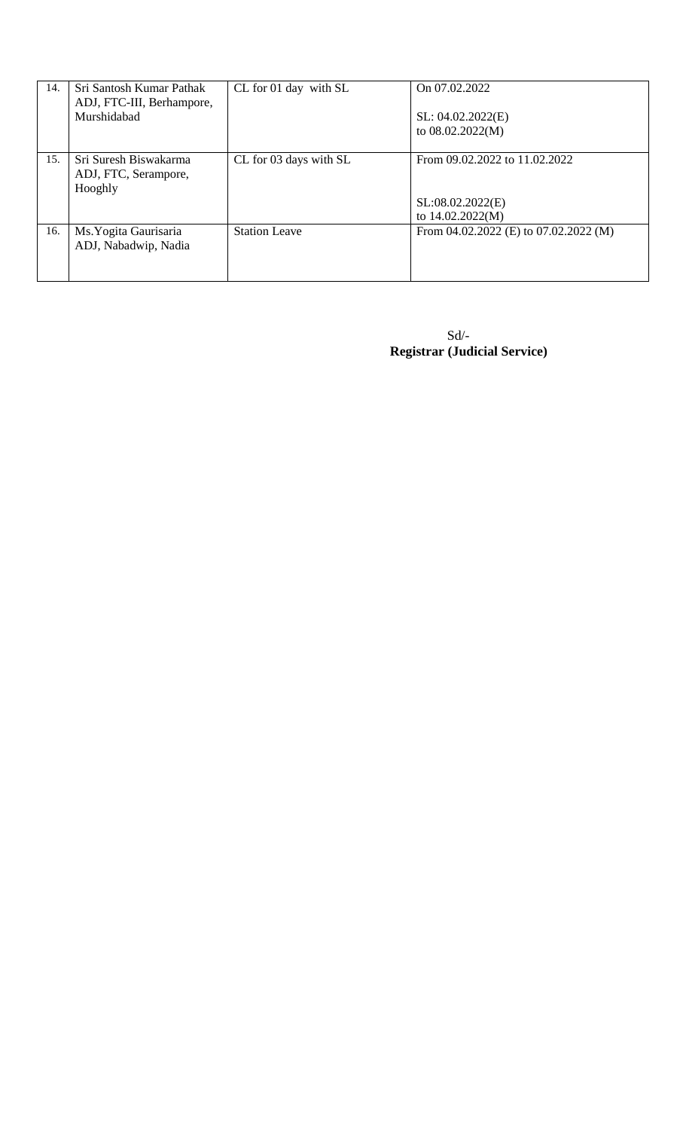| 14. | Sri Santosh Kumar Pathak<br>ADJ, FTC-III, Berhampore,<br>Murshidabad | CL for 01 day with SL  | On 07.02.2022<br>SL: 04.02.2022(E)<br>to 08.02.2022(M)                |
|-----|----------------------------------------------------------------------|------------------------|-----------------------------------------------------------------------|
| 15. | Sri Suresh Biswakarma<br>ADJ, FTC, Serampore,<br>Hooghly             | CL for 03 days with SL | From 09.02.2022 to 11.02.2022<br>SL:08.02.2022(E)<br>to 14.02.2022(M) |
| 16. | Ms. Yogita Gaurisaria<br>ADJ, Nabadwip, Nadia                        | <b>Station Leave</b>   | From $04.02.2022$ (E) to $07.02.2022$ (M)                             |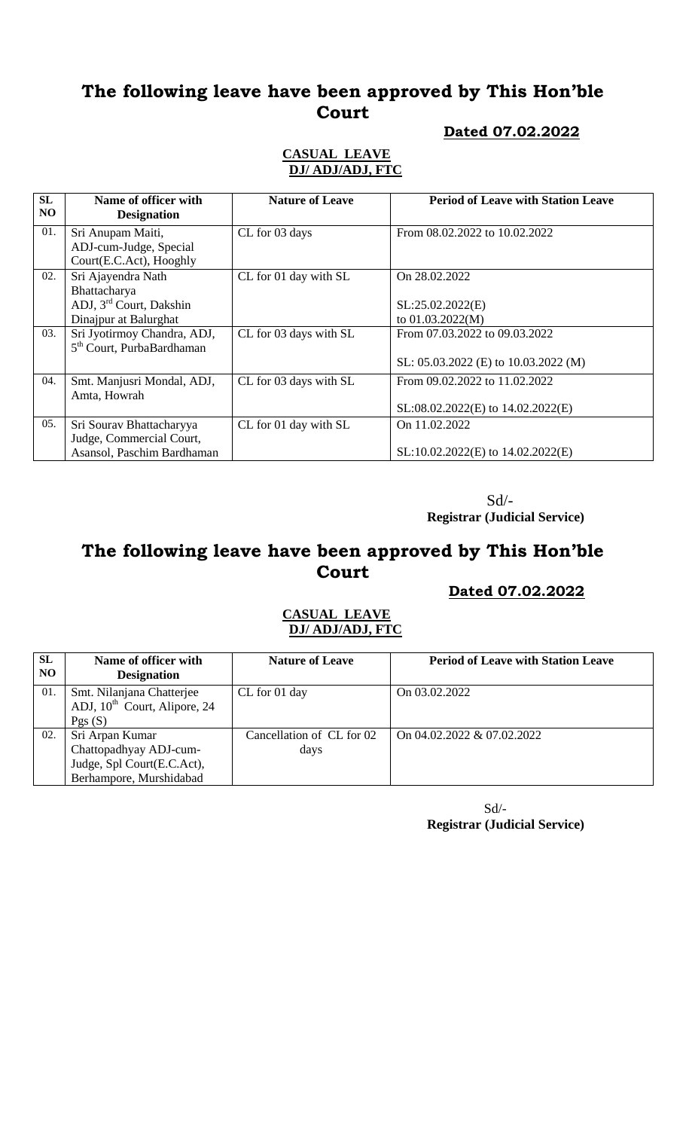### **Dated 07.02.2022**

#### **CASUAL LEAVE DJ/ ADJ/ADJ, FTC**

| <b>SL</b><br>NO. | Name of officer with<br><b>Designation</b>                           | <b>Nature of Leave</b> | <b>Period of Leave with Station Leave</b> |
|------------------|----------------------------------------------------------------------|------------------------|-------------------------------------------|
| 01.              | Sri Anupam Maiti,                                                    | CL for 03 days         | From 08.02.2022 to 10.02.2022             |
|                  | ADJ-cum-Judge, Special<br>Court(E.C.Act), Hooghly                    |                        |                                           |
| 02.              | Sri Ajayendra Nath                                                   | CL for 01 day with SL  | On 28.02.2022                             |
|                  | Bhattacharya<br>ADJ, 3 <sup>rd</sup> Court, Dakshin                  |                        | SL:25.02.2022(E)                          |
|                  | Dinajpur at Balurghat                                                |                        | to $01.03.2022(M)$                        |
| 03.              | Sri Jyotirmoy Chandra, ADJ,<br>5 <sup>th</sup> Court, PurbaBardhaman | CL for 03 days with SL | From 07.03.2022 to 09.03.2022             |
|                  |                                                                      |                        | SL: 05.03.2022 (E) to 10.03.2022 (M)      |
| 04.              | Smt. Manjusri Mondal, ADJ,                                           | CL for 03 days with SL | From 09.02.2022 to 11.02.2022             |
|                  | Amta, Howrah                                                         |                        | $SL:08.02.2022(E)$ to $14.02.2022(E)$     |
| 05.              | Sri Sourav Bhattacharyya                                             | CL for 01 day with SL  | On 11.02.2022                             |
|                  | Judge, Commercial Court,<br>Asansol, Paschim Bardhaman               |                        | SL:10.02.2022(E) to 14.02.2022(E)         |

 Sd/-  **Registrar (Judicial Service)**

## **The following leave have been approved by This Hon'ble Court**

### **Dated 07.02.2022**

#### **CASUAL LEAVE DJ/ ADJ/ADJ, FTC**

| SL<br>N <sub>O</sub> | Name of officer with<br><b>Designation</b>                            | <b>Nature of Leave</b>    | <b>Period of Leave with Station Leave</b> |
|----------------------|-----------------------------------------------------------------------|---------------------------|-------------------------------------------|
| 01.                  | Smt. Nilanjana Chatterjee<br>ADJ, 10 <sup>th</sup> Court, Alipore, 24 | CL for 01 day             | On 03.02.2022                             |
|                      | Pgs(S)                                                                |                           |                                           |
| 02.                  | Sri Arpan Kumar                                                       | Cancellation of CL for 02 | On 04.02.2022 & 07.02.2022                |
|                      | Chattopadhyay ADJ-cum-                                                | days                      |                                           |
|                      | Judge, Spl Court(E.C.Act),                                            |                           |                                           |
|                      | Berhampore, Murshidabad                                               |                           |                                           |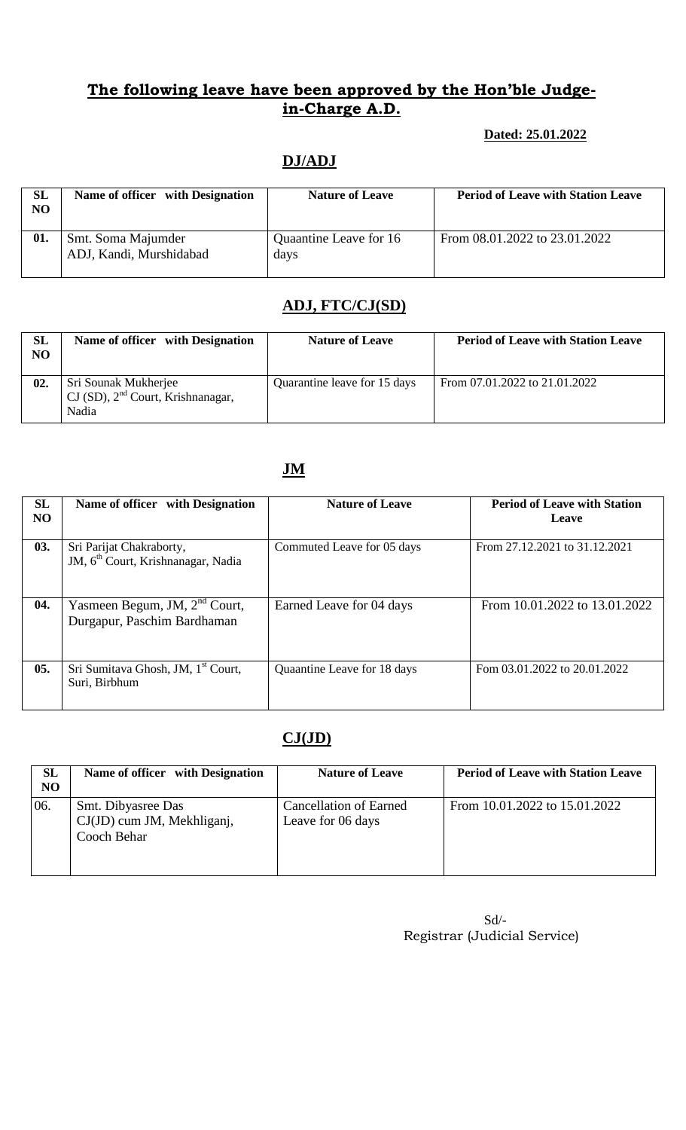#### **Dated: 25.01.2022**

## **DJ/ADJ**

| <b>SL</b><br>N <sub>O</sub> | Name of officer with Designation              | <b>Nature of Leave</b>         | <b>Period of Leave with Station Leave</b> |
|-----------------------------|-----------------------------------------------|--------------------------------|-------------------------------------------|
| 01.                         | Smt. Soma Majumder<br>ADJ, Kandi, Murshidabad | Quaantine Leave for 16<br>days | From 08.01.2022 to 23.01.2022             |

### **ADJ, FTC/CJ(SD)**

| <b>SL</b><br>N <sub>O</sub> | Name of officer with Designation                                        | <b>Nature of Leave</b>       | <b>Period of Leave with Station Leave</b> |
|-----------------------------|-------------------------------------------------------------------------|------------------------------|-------------------------------------------|
| 02.                         | Sri Sounak Mukherjee<br>$CI(SD)$ , $2nd Court$ , Krishnanagar,<br>Nadia | Quarantine leave for 15 days | From 07.01.2022 to 21.01.2022             |

## **JM**

| SL<br>NO | Name of officer with Designation                                           | <b>Nature of Leave</b>      | <b>Period of Leave with Station</b><br>Leave |
|----------|----------------------------------------------------------------------------|-----------------------------|----------------------------------------------|
| 03.      | Sri Parijat Chakraborty,<br>JM, 6 <sup>th</sup> Court, Krishnanagar, Nadia | Commuted Leave for 05 days  | From 27.12.2021 to 31.12.2021                |
| 04.      | Yasmeen Begum, JM, 2 <sup>nd</sup> Court,<br>Durgapur, Paschim Bardhaman   | Earned Leave for 04 days    | From 10.01.2022 to 13.01.2022                |
| 05.      | Sri Sumitava Ghosh, JM, 1 <sup>st</sup> Court,<br>Suri, Birbhum            | Quaantine Leave for 18 days | Fom 03.01.2022 to 20.01.2022                 |

### **CJ(JD)**

| <b>SL</b><br>N <sub>O</sub> | Name of officer with Designation                                | <b>Nature of Leave</b>                             | <b>Period of Leave with Station Leave</b> |
|-----------------------------|-----------------------------------------------------------------|----------------------------------------------------|-------------------------------------------|
| 06.                         | Smt. Dibyasree Das<br>CJ(JD) cum JM, Mekhliganj,<br>Cooch Behar | <b>Cancellation of Earned</b><br>Leave for 06 days | From 10.01.2022 to 15.01.2022             |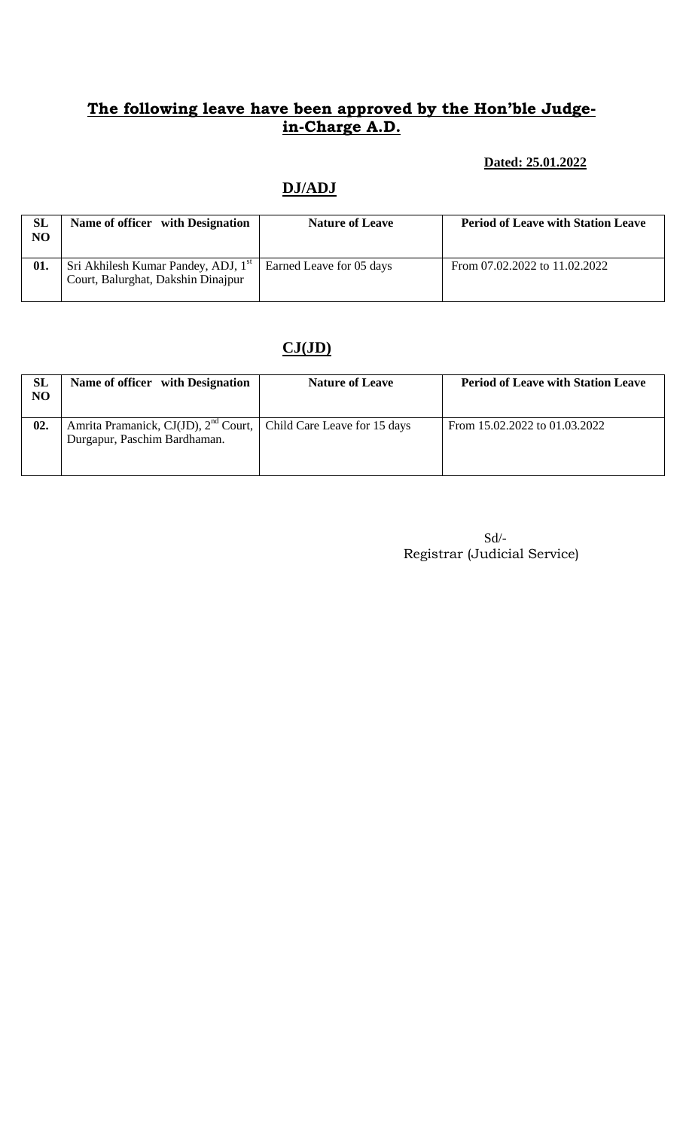#### **Dated: 25.01.2022**

## **DJ/ADJ**

| <b>SL</b><br>N <sub>O</sub> | Name of officer with Designation                                                      | <b>Nature of Leave</b>   | <b>Period of Leave with Station Leave</b> |
|-----------------------------|---------------------------------------------------------------------------------------|--------------------------|-------------------------------------------|
| 01.                         | Sri Akhilesh Kumar Pandey, ADJ, 1 <sup>st</sup><br>Court, Balurghat, Dakshin Dinajpur | Earned Leave for 05 days | From 07.02.2022 to 11.02.2022             |

## **CJ(JD)**

| <b>SL</b><br>NO | Name of officer with Designation                                                                         | <b>Nature of Leave</b> | <b>Period of Leave with Station Leave</b> |
|-----------------|----------------------------------------------------------------------------------------------------------|------------------------|-------------------------------------------|
| 02.             | Amrita Pramanick, CJ(JD), $2^{nd}$ Court,   Child Care Leave for 15 days<br>Durgapur, Paschim Bardhaman. |                        | From 15.02.2022 to 01.03.2022             |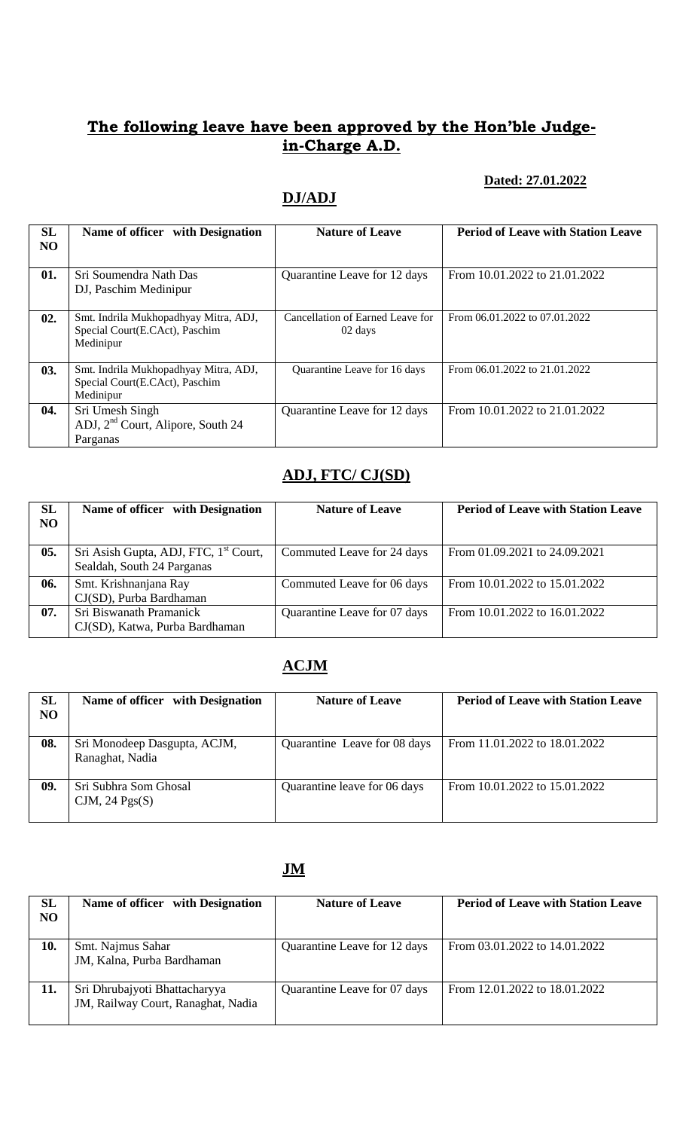#### **Dated: 27.01.2022**

## **DJ/ADJ**

| SL        | Name of officer with Designation      | <b>Nature of Leave</b>              | <b>Period of Leave with Station Leave</b> |
|-----------|---------------------------------------|-------------------------------------|-------------------------------------------|
| <b>NO</b> |                                       |                                     |                                           |
|           |                                       |                                     |                                           |
| 01.       | Sri Soumendra Nath Das                | Quarantine Leave for 12 days        | From 10.01.2022 to 21.01.2022             |
|           | DJ, Paschim Medinipur                 |                                     |                                           |
|           |                                       |                                     |                                           |
| 02.       | Smt. Indrila Mukhopadhyay Mitra, ADJ, | Cancellation of Earned Leave for    | From 06.01.2022 to 07.01.2022             |
|           | Special Court(E.CAct), Paschim        | 02 days                             |                                           |
|           | Medinipur                             |                                     |                                           |
|           |                                       |                                     |                                           |
| 03.       | Smt. Indrila Mukhopadhyay Mitra, ADJ, | <b>Ouarantine Leave for 16 days</b> | From 06.01.2022 to 21.01.2022             |
|           | Special Court(E.CAct), Paschim        |                                     |                                           |
|           | Medinipur                             |                                     |                                           |
| 04.       | Sri Umesh Singh                       | Quarantine Leave for 12 days        | From 10.01.2022 to 21.01.2022             |
|           | ADJ, $2nd$ Court, Alipore, South 24   |                                     |                                           |
|           | Parganas                              |                                     |                                           |

### **ADJ, FTC/ CJ(SD)**

| <b>SL</b><br><b>NO</b> | Name of officer with Designation                                                | <b>Nature of Leave</b>       | <b>Period of Leave with Station Leave</b> |
|------------------------|---------------------------------------------------------------------------------|------------------------------|-------------------------------------------|
| 05.                    | Sri Asish Gupta, ADJ, FTC, 1 <sup>st</sup> Court,<br>Sealdah, South 24 Parganas | Commuted Leave for 24 days   | From 01.09.2021 to 24.09.2021             |
| 06.                    | Smt. Krishnanjana Ray<br>CJ(SD), Purba Bardhaman                                | Commuted Leave for 06 days   | From 10.01.2022 to 15.01.2022             |
| 07.                    | Sri Biswanath Pramanick<br>CJ(SD), Katwa, Purba Bardhaman                       | Quarantine Leave for 07 days | From 10.01.2022 to 16.01.2022             |

## **ACJM**

| SL<br>NO | Name of officer with Designation                | <b>Nature of Leave</b>       | <b>Period of Leave with Station Leave</b> |
|----------|-------------------------------------------------|------------------------------|-------------------------------------------|
| 08.      | Sri Monodeep Dasgupta, ACJM,<br>Ranaghat, Nadia | Quarantine Leave for 08 days | From 11.01.2022 to 18.01.2022             |
| 09.      | Sri Subhra Som Ghosal<br>CJM, 24 $Pgs(S)$       | Quarantine leave for 06 days | From 10.01.2022 to 15.01.2022             |

### **JM**

| <b>SL</b><br>NO | Name of officer with Designation                                    | <b>Nature of Leave</b>       | <b>Period of Leave with Station Leave</b> |
|-----------------|---------------------------------------------------------------------|------------------------------|-------------------------------------------|
| 10.             | Smt. Najmus Sahar<br>JM, Kalna, Purba Bardhaman                     | Quarantine Leave for 12 days | From 03.01.2022 to 14.01.2022             |
| 11.             | Sri Dhrubajyoti Bhattacharyya<br>JM, Railway Court, Ranaghat, Nadia | Quarantine Leave for 07 days | From 12.01.2022 to 18.01.2022             |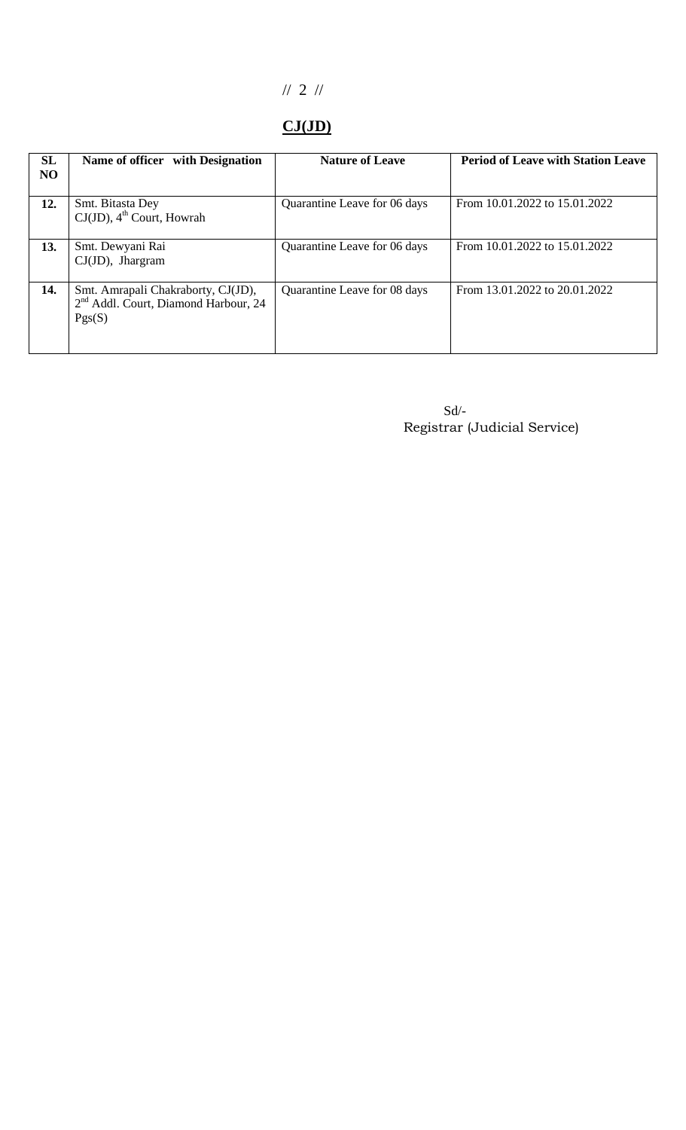## // 2 //

# **CJ(JD)**

| SL<br>NO | Name of officer with Designation                                                                 | <b>Nature of Leave</b>       | <b>Period of Leave with Station Leave</b> |
|----------|--------------------------------------------------------------------------------------------------|------------------------------|-------------------------------------------|
| 12.      | Smt. Bitasta Dey<br>$CJ(JD)$ , 4 <sup>th</sup> Court, Howrah                                     | Quarantine Leave for 06 days | From 10.01.2022 to 15.01.2022             |
| 13.      | Smt. Dewyani Rai<br>$CJ(JD)$ , Jhargram                                                          | Quarantine Leave for 06 days | From 10.01.2022 to 15.01.2022             |
| 14.      | Smt. Amrapali Chakraborty, CJ(JD),<br>2 <sup>nd</sup> Addl. Court, Diamond Harbour, 24<br>Pgs(S) | Quarantine Leave for 08 days | From 13.01.2022 to 20.01.2022             |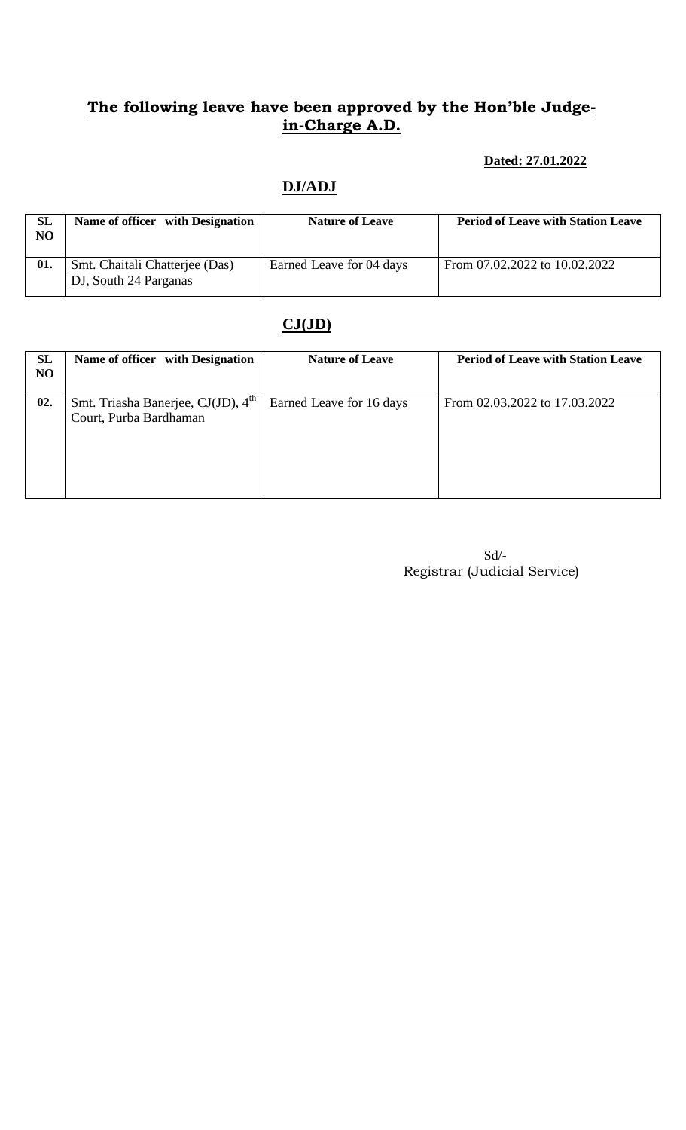### **Dated: 27.01.2022**

# **DJ/ADJ**

| <b>SL</b><br>N <sub>O</sub> | Name of officer with Designation                        | <b>Nature of Leave</b>   | <b>Period of Leave with Station Leave</b> |
|-----------------------------|---------------------------------------------------------|--------------------------|-------------------------------------------|
| 01.                         | Smt. Chaitali Chatteriee (Das)<br>DJ, South 24 Parganas | Earned Leave for 04 days | From 07.02.2022 to 10.02.2022             |

## **CJ(JD)**

| SL<br>NO | Name of officer with Designation                                         | <b>Nature of Leave</b>   | <b>Period of Leave with Station Leave</b> |
|----------|--------------------------------------------------------------------------|--------------------------|-------------------------------------------|
| 02.      | Smt. Triasha Banerjee, CJ(JD), 4 <sup>th</sup><br>Court, Purba Bardhaman | Earned Leave for 16 days | From 02.03.2022 to 17.03.2022             |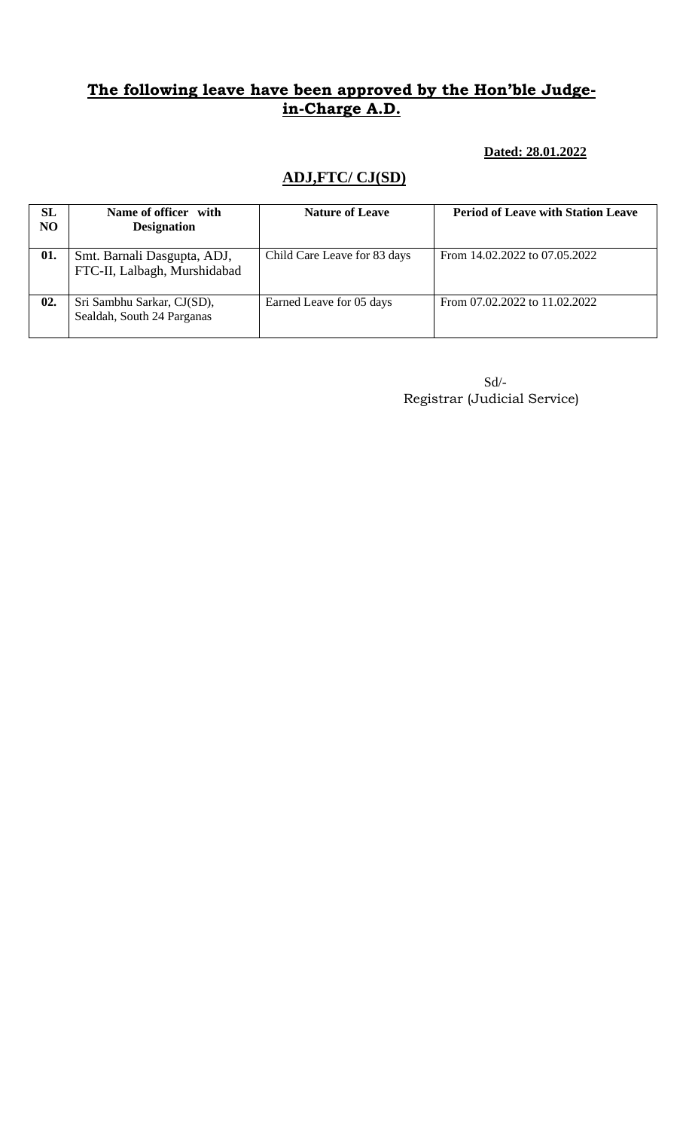#### **Dated: 28.01.2022**

## **ADJ,FTC/ CJ(SD)**

| SL<br><b>NO</b> | Name of officer with<br><b>Designation</b>                  | <b>Nature of Leave</b>       | <b>Period of Leave with Station Leave</b> |
|-----------------|-------------------------------------------------------------|------------------------------|-------------------------------------------|
| 01.             | Smt. Barnali Dasgupta, ADJ,<br>FTC-II, Lalbagh, Murshidabad | Child Care Leave for 83 days | From 14.02.2022 to 07.05.2022             |
| 02.             | Sri Sambhu Sarkar, CJ(SD),<br>Sealdah, South 24 Parganas    | Earned Leave for 05 days     | From 07.02.2022 to 11.02.2022             |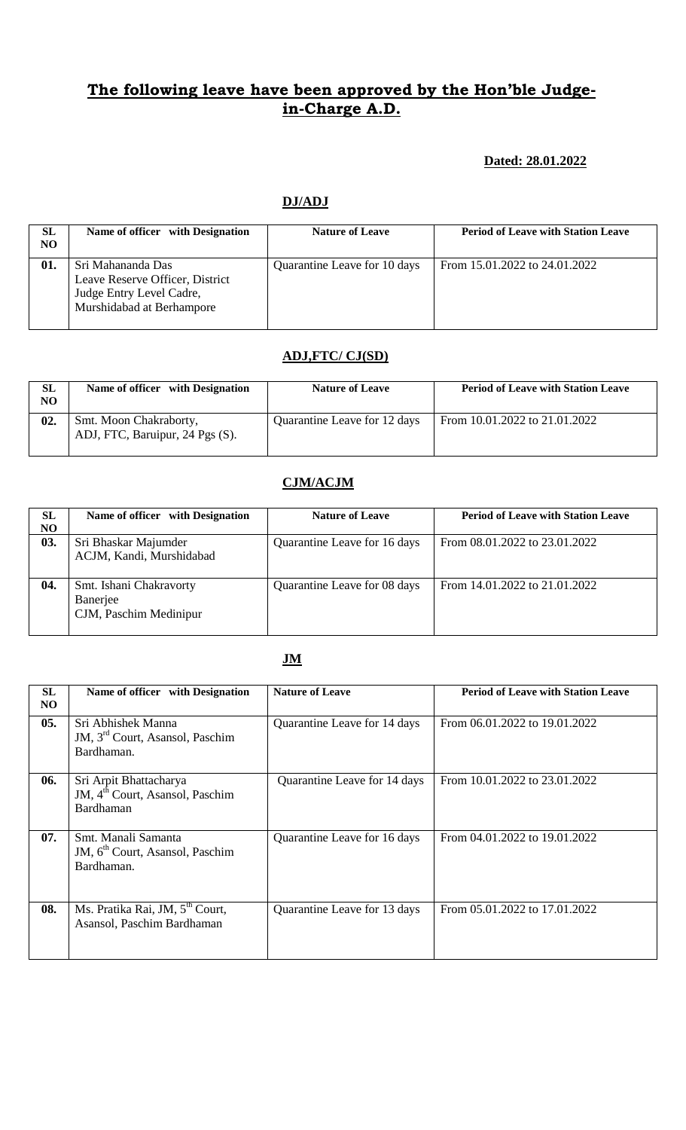#### **Dated: 28.01.2022**

#### **DJ/ADJ**

| SL<br>N <sub>O</sub> | Name of officer with Designation                                                                              | <b>Nature of Leave</b>       | <b>Period of Leave with Station Leave</b> |
|----------------------|---------------------------------------------------------------------------------------------------------------|------------------------------|-------------------------------------------|
| 01.                  | Sri Mahananda Das<br>Leave Reserve Officer, District<br>Judge Entry Level Cadre,<br>Murshidabad at Berhampore | Quarantine Leave for 10 days | From 15.01.2022 to 24.01.2022             |

#### **ADJ,FTC/ CJ(SD)**

| SL<br>NO | Name of officer with Designation                          | <b>Nature of Leave</b>       | <b>Period of Leave with Station Leave</b> |
|----------|-----------------------------------------------------------|------------------------------|-------------------------------------------|
| 02.      | Smt. Moon Chakraborty,<br>ADJ, FTC, Baruipur, 24 Pgs (S). | Quarantine Leave for 12 days | From 10.01.2022 to 21.01.2022             |

#### **CJM/ACJM**

| <b>SL</b> | Name of officer with Designation | <b>Nature of Leave</b>       | <b>Period of Leave with Station Leave</b> |
|-----------|----------------------------------|------------------------------|-------------------------------------------|
| NO.       |                                  |                              |                                           |
| 03.       | Sri Bhaskar Majumder             | Quarantine Leave for 16 days | From 08.01.2022 to 23.01.2022             |
|           | ACJM, Kandi, Murshidabad         |                              |                                           |
|           |                                  |                              |                                           |
| 04.       | Smt. Ishani Chakravorty          | Quarantine Leave for 08 days | From 14.01.2022 to 21.01.2022             |
|           | Banerjee                         |                              |                                           |
|           | CJM, Paschim Medinipur           |                              |                                           |
|           |                                  |                              |                                           |

#### **JM**

| <b>SL</b><br>NO. | Name of officer with Designation                                                   | <b>Nature of Leave</b>       | <b>Period of Leave with Station Leave</b> |
|------------------|------------------------------------------------------------------------------------|------------------------------|-------------------------------------------|
| 05.              | Sri Abhishek Manna<br>JM, 3 <sup>rd</sup> Court, Asansol, Paschim<br>Bardhaman.    | Quarantine Leave for 14 days | From 06.01.2022 to 19.01.2022             |
| 06.              | Sri Arpit Bhattacharya<br>JM, 4 <sup>th</sup> Court, Asansol, Paschim<br>Bardhaman | Quarantine Leave for 14 days | From 10.01.2022 to 23.01.2022             |
| 07.              | Smt. Manali Samanta<br>JM, 6 <sup>th</sup> Court, Asansol, Paschim<br>Bardhaman.   | Quarantine Leave for 16 days | From 04.01.2022 to 19.01.2022             |
| 08.              | Ms. Pratika Rai, JM, 5 <sup>th</sup> Court,<br>Asansol, Paschim Bardhaman          | Quarantine Leave for 13 days | From 05.01.2022 to 17.01.2022             |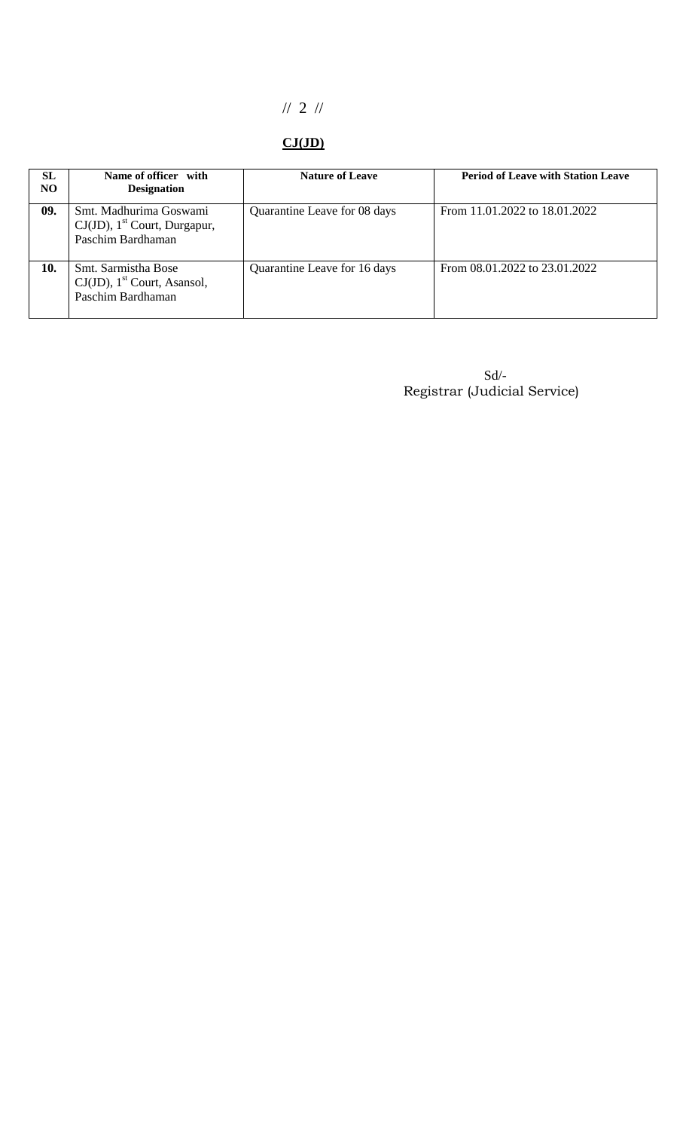# // 2 //

## **CJ(JD)**

| <b>SL</b><br>N <sub>O</sub> | Name of officer with<br><b>Designation</b>                                                 | <b>Nature of Leave</b>       | <b>Period of Leave with Station Leave</b> |
|-----------------------------|--------------------------------------------------------------------------------------------|------------------------------|-------------------------------------------|
| 09.                         | Smt. Madhurima Goswami<br>$CJ(JD)$ , 1 <sup>st</sup> Court, Durgapur,<br>Paschim Bardhaman | Quarantine Leave for 08 days | From 11.01.2022 to 18.01.2022             |
| 10.                         | Smt. Sarmistha Bose<br>$CJ(JD)$ , 1 <sup>st</sup> Court, Asansol,<br>Paschim Bardhaman     | Quarantine Leave for 16 days | From 08.01.2022 to 23.01.2022             |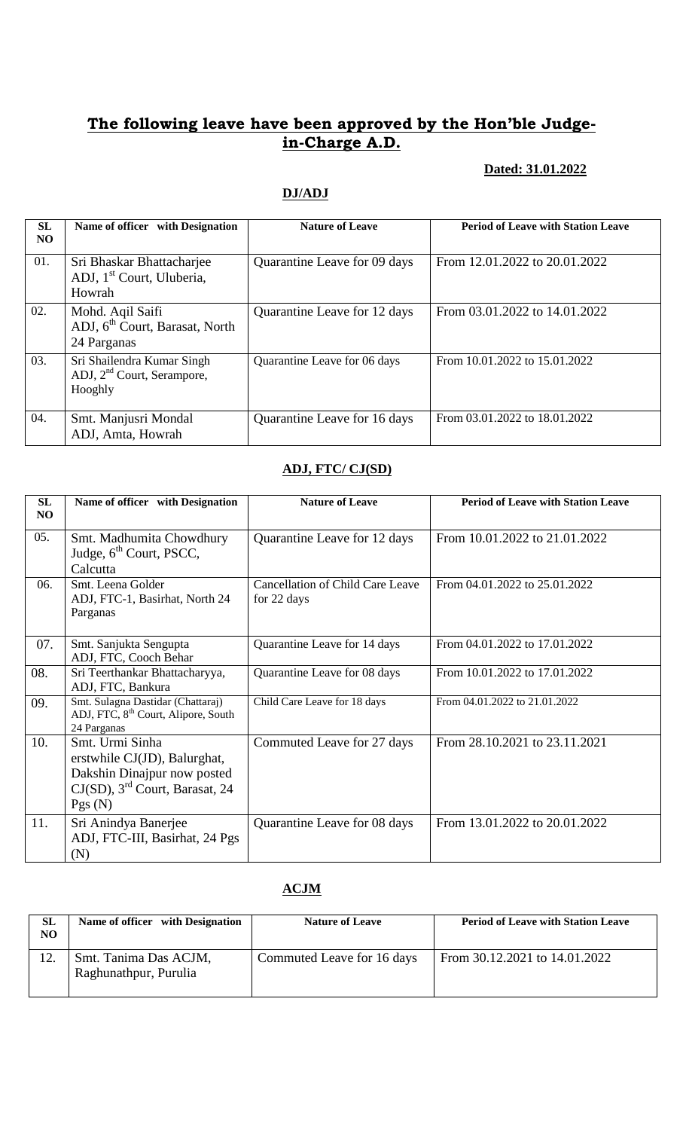### **Dated: 31.01.2022**

### **DJ/ADJ**

| <b>SL</b><br>NO | Name of officer with Designation                                                | <b>Nature of Leave</b>       | <b>Period of Leave with Station Leave</b> |
|-----------------|---------------------------------------------------------------------------------|------------------------------|-------------------------------------------|
| 01.             | Sri Bhaskar Bhattacharjee<br>ADJ, 1 <sup>st</sup> Court, Uluberia,<br>Howrah    | Quarantine Leave for 09 days | From 12.01.2022 to 20.01.2022             |
| 02.             | Mohd. Aqil Saifi<br>ADJ, 6 <sup>th</sup> Court, Barasat, North<br>24 Parganas   | Quarantine Leave for 12 days | From 03.01.2022 to 14.01.2022             |
| 03.             | Sri Shailendra Kumar Singh<br>ADJ, 2 <sup>nd</sup> Court, Serampore,<br>Hooghly | Quarantine Leave for 06 days | From 10.01.2022 to 15.01.2022             |
| 04.             | Smt. Manjusri Mondal<br>ADJ, Amta, Howrah                                       | Quarantine Leave for 16 days | From 03.01.2022 to 18.01.2022             |

### **ADJ, FTC/ CJ(SD)**

| SL<br>NO | Name of officer with Designation                                                                                                          | <b>Nature of Leave</b>                                 | <b>Period of Leave with Station Leave</b> |
|----------|-------------------------------------------------------------------------------------------------------------------------------------------|--------------------------------------------------------|-------------------------------------------|
| 05.      | Smt. Madhumita Chowdhury<br>Judge, 6 <sup>th</sup> Court, PSCC,<br>Calcutta                                                               | Quarantine Leave for 12 days                           | From 10.01.2022 to 21.01.2022             |
| 06.      | Smt. Leena Golder<br>ADJ, FTC-1, Basirhat, North 24<br>Parganas                                                                           | <b>Cancellation of Child Care Leave</b><br>for 22 days | From 04.01.2022 to 25.01.2022             |
| 07.      | Smt. Sanjukta Sengupta<br>ADJ, FTC, Cooch Behar                                                                                           | Quarantine Leave for 14 days                           | From 04.01.2022 to 17.01.2022             |
| 08.      | Sri Teerthankar Bhattacharyya,<br>ADJ, FTC, Bankura                                                                                       | Quarantine Leave for 08 days                           | From 10.01.2022 to 17.01.2022             |
| 09.      | Smt. Sulagna Dastidar (Chattaraj)<br>ADJ, FTC, 8 <sup>th</sup> Court, Alipore, South<br>24 Parganas                                       | Child Care Leave for 18 days                           | From 04.01.2022 to 21.01.2022             |
| 10.      | Smt. Urmi Sinha<br>erstwhile CJ(JD), Balurghat,<br>Dakshin Dinajpur now posted<br>$CJ(SD)$ , 3 <sup>rd</sup> Court, Barasat, 24<br>Pgs(N) | Commuted Leave for 27 days                             | From 28.10.2021 to 23.11.2021             |
| 11.      | Sri Anindya Banerjee<br>ADJ, FTC-III, Basirhat, 24 Pgs<br>(N)                                                                             | Quarantine Leave for 08 days                           | From 13.01.2022 to 20.01.2022             |

### **ACJM**

| <b>SL</b><br>NO. | Name of officer with Designation               | <b>Nature of Leave</b>     | <b>Period of Leave with Station Leave</b> |
|------------------|------------------------------------------------|----------------------------|-------------------------------------------|
| 12.              | Smt. Tanima Das ACJM,<br>Raghunathpur, Purulia | Commuted Leave for 16 days | From 30.12.2021 to 14.01.2022             |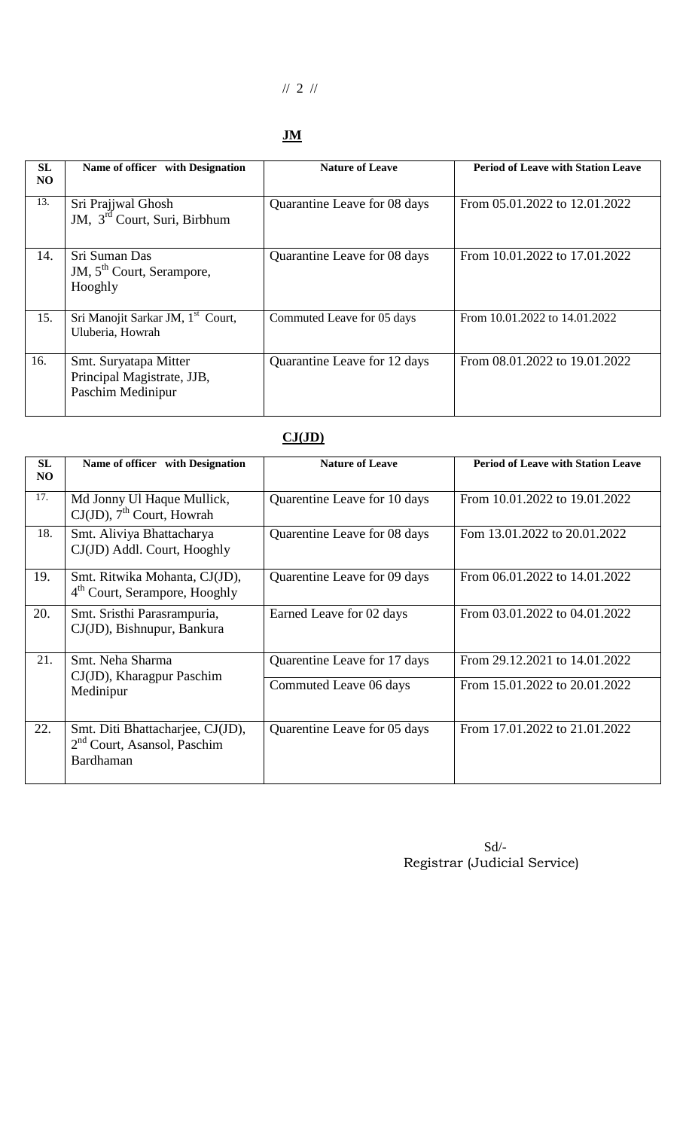## // 2 //

## **JM**

| <b>SL</b><br>NO. | Name of officer with Designation                                         | <b>Nature of Leave</b>       | <b>Period of Leave with Station Leave</b> |
|------------------|--------------------------------------------------------------------------|------------------------------|-------------------------------------------|
| 13.              | Sri Prajiwal Ghosh<br>JM, 3 <sup>rd</sup> Court, Suri, Birbhum           | Quarantine Leave for 08 days | From 05.01.2022 to 12.01.2022             |
| 14.              | Sri Suman Das<br>JM, 5 <sup>th</sup> Court, Serampore,<br>Hooghly        | Quarantine Leave for 08 days | From 10.01.2022 to 17.01.2022             |
| 15.              | Sri Manojit Sarkar JM, 1 <sup>st</sup> Court,<br>Uluberia, Howrah        | Commuted Leave for 05 days   | From 10.01.2022 to 14.01.2022             |
| 16.              | Smt. Suryatapa Mitter<br>Principal Magistrate, JJB,<br>Paschim Medinipur | Quarantine Leave for 12 days | From 08.01.2022 to 19.01.2022             |

| SL<br>N <sub>O</sub> | Name of officer with Designation                                                         | <b>Nature of Leave</b>       | <b>Period of Leave with Station Leave</b> |
|----------------------|------------------------------------------------------------------------------------------|------------------------------|-------------------------------------------|
| 17.                  | Md Jonny Ul Haque Mullick,<br>$CJ(JD)$ , 7 <sup>th</sup> Court, Howrah                   | Quarentine Leave for 10 days | From 10.01.2022 to 19.01.2022             |
| 18.                  | Smt. Aliviya Bhattacharya<br>CJ(JD) Addl. Court, Hooghly                                 | Quarentine Leave for 08 days | Fom 13.01.2022 to 20.01.2022              |
| 19.                  | Smt. Ritwika Mohanta, CJ(JD),<br>4 <sup>th</sup> Court, Serampore, Hooghly               | Quarentine Leave for 09 days | From 06.01.2022 to 14.01.2022             |
| 20.                  | Smt. Sristhi Parasrampuria,<br>CJ(JD), Bishnupur, Bankura                                | Earned Leave for 02 days     | From 03.01.2022 to 04.01.2022             |
| 21.                  | Smt. Neha Sharma<br>CJ(JD), Kharagpur Paschim                                            | Quarentine Leave for 17 days | From 29.12.2021 to 14.01.2022             |
|                      | Medinipur                                                                                | Commuted Leave 06 days       | From 15.01.2022 to 20.01.2022             |
| 22.                  | Smt. Diti Bhattacharjee, CJ(JD),<br>2 <sup>nd</sup> Court, Asansol, Paschim<br>Bardhaman | Quarentine Leave for 05 days | From 17.01.2022 to 21.01.2022             |

### **CJ(JD)**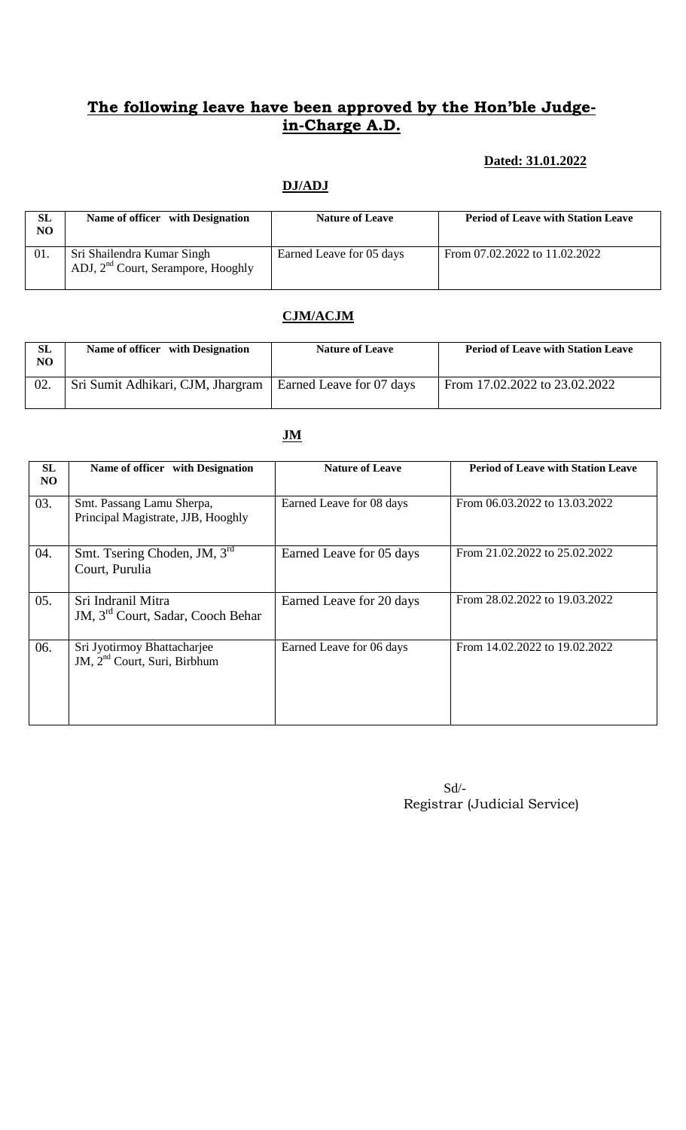### **Dated: 31.01.2022**

### **DJ/ADJ**

| SL<br>NO | Name of officer with Designation                                             | <b>Nature of Leave</b>   | <b>Period of Leave with Station Leave</b> |
|----------|------------------------------------------------------------------------------|--------------------------|-------------------------------------------|
| 01.      | Sri Shailendra Kumar Singh<br>ADJ, 2 <sup>nd</sup> Court, Serampore, Hooghly | Earned Leave for 05 days | From 07.02.2022 to 11.02.2022             |

## **CJM/ACJM**

| <b>SL</b><br>NO | Name of officer with Designation  | <b>Nature of Leave</b>   | <b>Period of Leave with Station Leave</b> |
|-----------------|-----------------------------------|--------------------------|-------------------------------------------|
|                 | Sri Sumit Adhikari, CJM, Jhargram | Earned Leave for 07 days | From 17.02.2022 to 23.02.2022             |

| <b>SL</b><br>N <sub>O</sub> | Name of officer with Designation                                    | <b>Nature of Leave</b>   | <b>Period of Leave with Station Leave</b> |
|-----------------------------|---------------------------------------------------------------------|--------------------------|-------------------------------------------|
| 03.                         | Smt. Passang Lamu Sherpa,<br>Principal Magistrate, JJB, Hooghly     | Earned Leave for 08 days | From 06.03.2022 to 13.03.2022             |
| 04.                         | Smt. Tsering Choden, JM, 3rd<br>Court, Purulia                      | Earned Leave for 05 days | From 21.02.2022 to 25.02.2022             |
| 05.                         | Sri Indranil Mitra<br>JM, 3 <sup>rd</sup> Court, Sadar, Cooch Behar | Earned Leave for 20 days | From 28.02.2022 to 19.03.2022             |
| 06.                         | Sri Jyotirmoy Bhattacharjee<br>JM, $2nd$ Court, Suri, Birbhum       | Earned Leave for 06 days | From 14.02.2022 to 19.02.2022             |

Sd/- Registrar (Judicial Service)

#### **JM**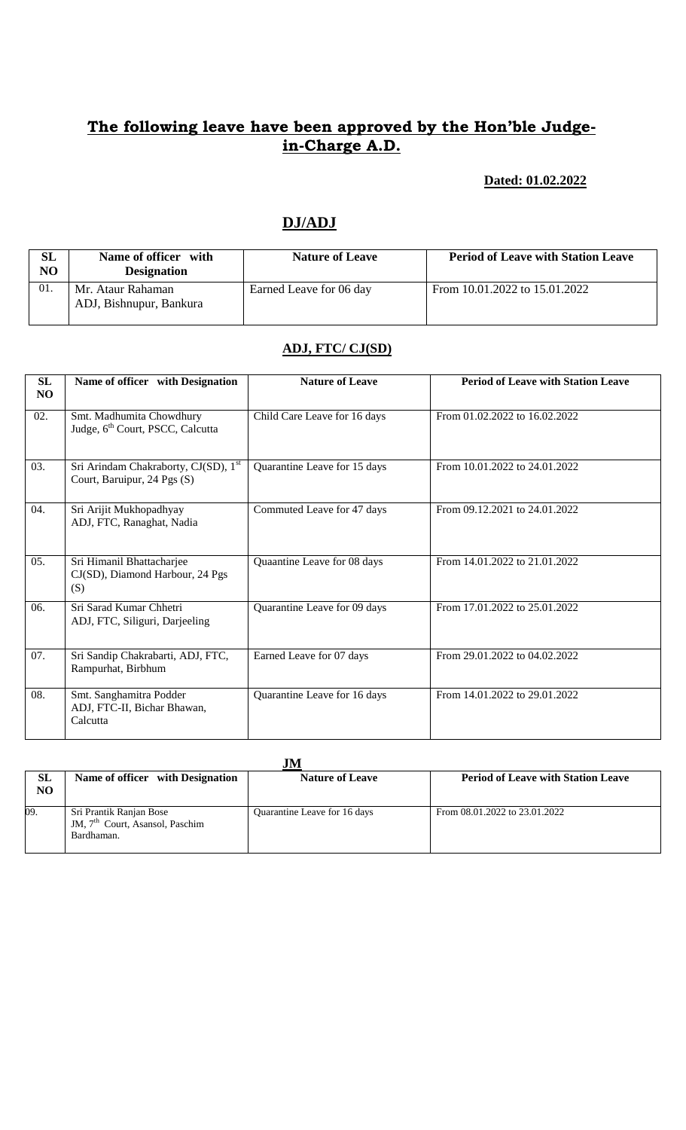#### **Dated: 01.02.2022**

## **DJ/ADJ**

| SL<br>NO | Name of officer with<br><b>Designation</b>   | <b>Nature of Leave</b>  | <b>Period of Leave with Station Leave</b> |
|----------|----------------------------------------------|-------------------------|-------------------------------------------|
| 01.      | Mr. Ataur Rahaman<br>ADJ, Bishnupur, Bankura | Earned Leave for 06 day | From 10.01.2022 to 15.01.2022             |

#### **ADJ, FTC/ CJ(SD)**

| SL<br>N <sub>O</sub> | Name of officer with Designation                                         | <b>Nature of Leave</b>       | <b>Period of Leave with Station Leave</b> |
|----------------------|--------------------------------------------------------------------------|------------------------------|-------------------------------------------|
| 02.                  | Smt. Madhumita Chowdhury<br>Judge, 6 <sup>th</sup> Court, PSCC, Calcutta | Child Care Leave for 16 days | From 01.02.2022 to 16.02.2022             |
| 03.                  | Sri Arindam Chakraborty, CJ(SD), 1st<br>Court, Baruipur, 24 Pgs (S)      | Quarantine Leave for 15 days | From 10.01.2022 to 24.01.2022             |
| 04.                  | Sri Arijit Mukhopadhyay<br>ADJ, FTC, Ranaghat, Nadia                     | Commuted Leave for 47 days   | From 09.12.2021 to 24.01.2022             |
| 05.                  | Sri Himanil Bhattacharjee<br>CJ(SD), Diamond Harbour, 24 Pgs<br>(S)      | Quaantine Leave for 08 days  | From 14.01.2022 to 21.01.2022             |
| 06.                  | Sri Sarad Kumar Chhetri<br>ADJ, FTC, Siliguri, Darjeeling                | Quarantine Leave for 09 days | From 17.01.2022 to 25.01.2022             |
| 07.                  | Sri Sandip Chakrabarti, ADJ, FTC,<br>Rampurhat, Birbhum                  | Earned Leave for 07 days     | From 29.01.2022 to 04.02.2022             |
| 08.                  | Smt. Sanghamitra Podder<br>ADJ, FTC-II, Bichar Bhawan,<br>Calcutta       | Quarantine Leave for 16 days | From 14.01.2022 to 29.01.2022             |

|                             |                                                                                      | .IM                          |                                           |
|-----------------------------|--------------------------------------------------------------------------------------|------------------------------|-------------------------------------------|
| <b>SL</b><br>N <sub>O</sub> | Name of officer with Designation                                                     | <b>Nature of Leave</b>       | <b>Period of Leave with Station Leave</b> |
| 09.                         | Sri Prantik Ranjan Bose<br>JM, 7 <sup>th</sup> Court, Asansol, Paschim<br>Bardhaman. | Quarantine Leave for 16 days | From 08.01.2022 to 23.01.2022             |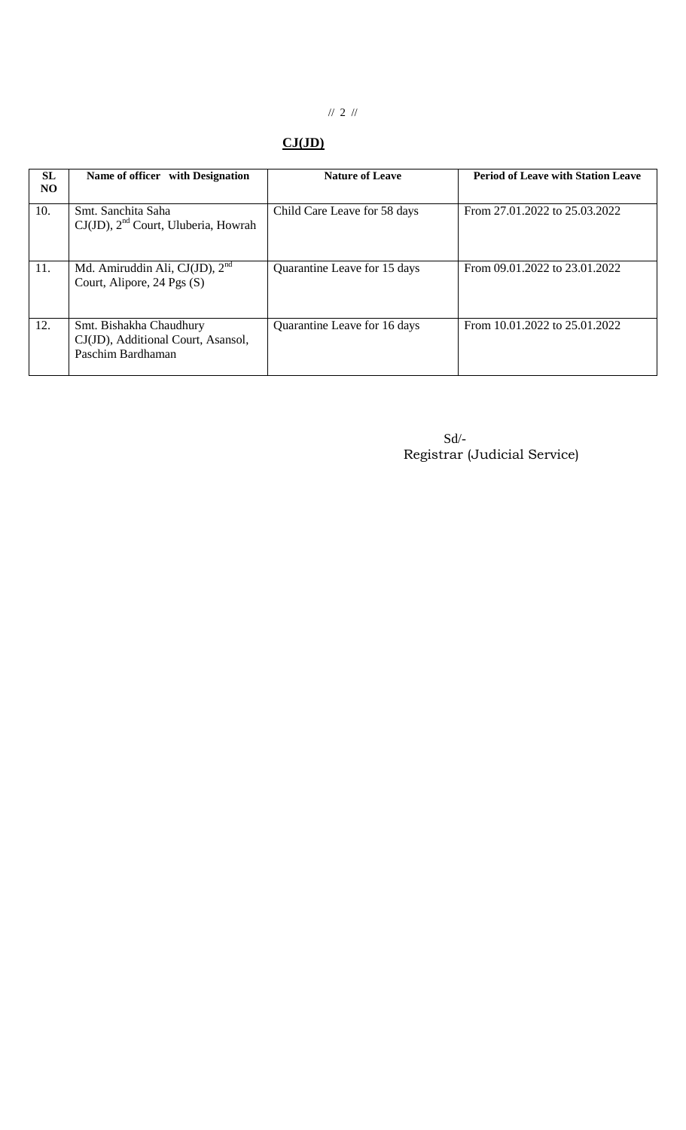# // 2 //

## **CJ(JD)**

| <b>SL</b><br>NO. | Name of officer with Designation                                                   | <b>Nature of Leave</b>       | <b>Period of Leave with Station Leave</b> |
|------------------|------------------------------------------------------------------------------------|------------------------------|-------------------------------------------|
| 10.              | Smt. Sanchita Saha<br>$CJ(JD)$ , $2nd$ Court, Uluberia, Howrah                     | Child Care Leave for 58 days | From 27.01.2022 to 25.03.2022             |
| 11.              | Md. Amiruddin Ali, CJ(JD), $2nd$<br>Court, Alipore, 24 Pgs (S)                     | Quarantine Leave for 15 days | From 09.01.2022 to 23.01.2022             |
| 12.              | Smt. Bishakha Chaudhury<br>CJ(JD), Additional Court, Asansol,<br>Paschim Bardhaman | Quarantine Leave for 16 days | From 10.01.2022 to 25.01.2022             |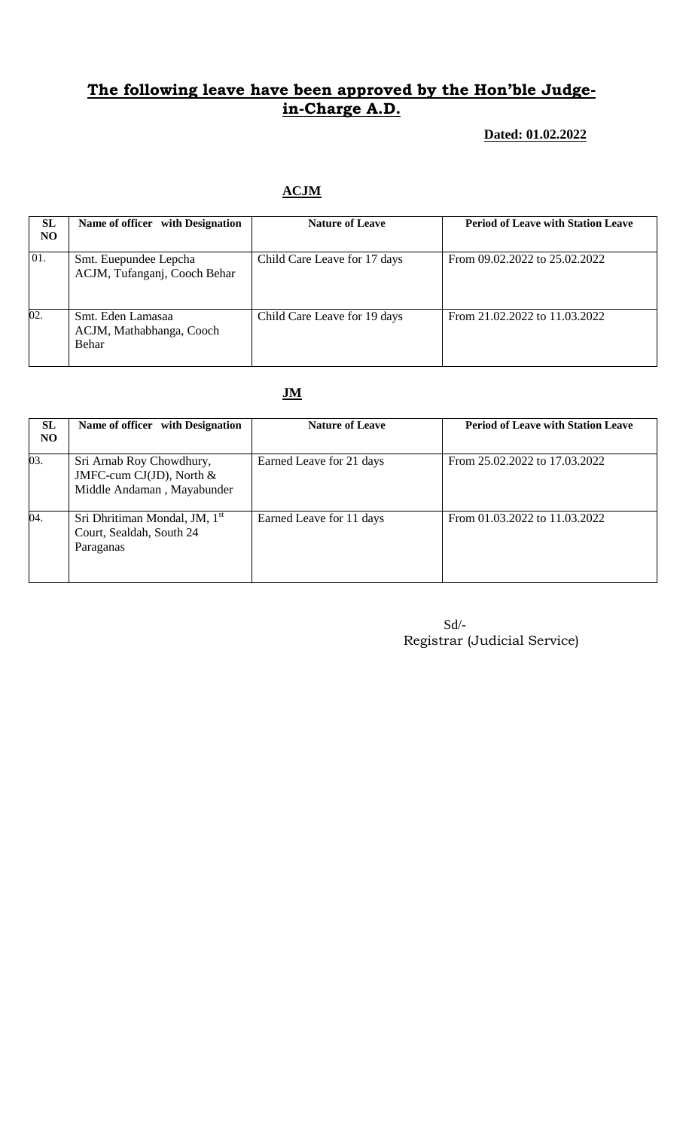#### **Dated: 01.02.2022**

### **ACJM**

| SL<br>NO.         | Name of officer with Designation                       | <b>Nature of Leave</b>       | <b>Period of Leave with Station Leave</b> |
|-------------------|--------------------------------------------------------|------------------------------|-------------------------------------------|
| 01.               | Smt. Euepundee Lepcha<br>ACJM, Tufanganj, Cooch Behar  | Child Care Leave for 17 days | From 09.02.2022 to 25.02.2022             |
| $\overline{02}$ . | Smt. Eden Lamasaa<br>ACJM, Mathabhanga, Cooch<br>Behar | Child Care Leave for 19 days | From 21.02.2022 to 11.03.2022             |

#### **JM**

| SL<br>NO. | Name of officer with Designation                                                     | <b>Nature of Leave</b>   | <b>Period of Leave with Station Leave</b> |
|-----------|--------------------------------------------------------------------------------------|--------------------------|-------------------------------------------|
| 03.       | Sri Arnab Roy Chowdhury,<br>JMFC-cum CJ(JD), North $&$<br>Middle Andaman, Mayabunder | Earned Leave for 21 days | From 25.02.2022 to 17.03.2022             |
| 04.       | Sri Dhritiman Mondal, JM, 1 <sup>st</sup><br>Court, Sealdah, South 24<br>Paraganas   | Earned Leave for 11 days | From 01.03.2022 to 11.03.2022             |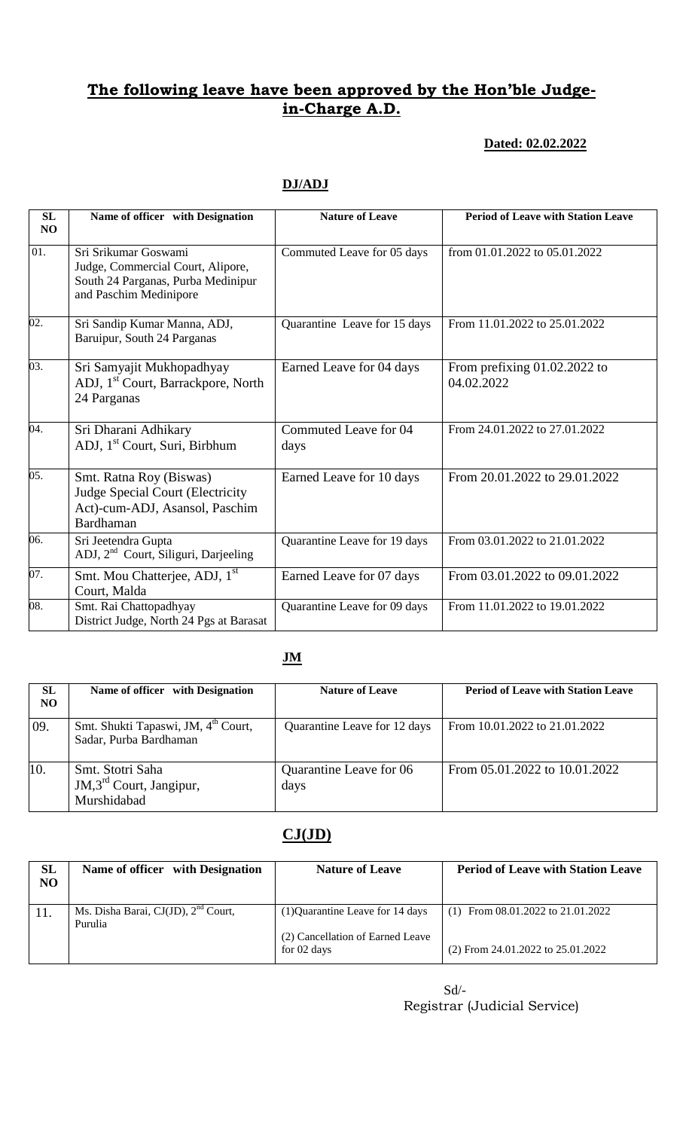#### **Dated: 02.02.2022**

| SL<br>NO          | Name of officer with Designation                                                                                          | <b>Nature of Leave</b>        | <b>Period of Leave with Station Leave</b>    |
|-------------------|---------------------------------------------------------------------------------------------------------------------------|-------------------------------|----------------------------------------------|
| 01.               | Sri Srikumar Goswami<br>Judge, Commercial Court, Alipore,<br>South 24 Parganas, Purba Medinipur<br>and Paschim Medinipore | Commuted Leave for 05 days    | from 01.01.2022 to 05.01.2022                |
| $\overline{02}$ . | Sri Sandip Kumar Manna, ADJ,<br>Baruipur, South 24 Parganas                                                               | Quarantine Leave for 15 days  | From 11.01.2022 to 25.01.2022                |
| 03.               | Sri Samyajit Mukhopadhyay<br>ADJ, 1 <sup>st</sup> Court, Barrackpore, North<br>24 Parganas                                | Earned Leave for 04 days      | From prefixing $01.02.2022$ to<br>04.02.2022 |
| 04.               | Sri Dharani Adhikary<br>ADJ, 1 <sup>st</sup> Court, Suri, Birbhum                                                         | Commuted Leave for 04<br>days | From 24.01.2022 to 27.01.2022                |
| 05.               | Smt. Ratna Roy (Biswas)<br><b>Judge Special Court (Electricity</b><br>Act)-cum-ADJ, Asansol, Paschim<br>Bardhaman         | Earned Leave for 10 days      | From 20.01.2022 to 29.01.2022                |
| 06.               | Sri Jeetendra Gupta<br>ADJ, 2 <sup>nd</sup> Court, Siliguri, Darjeeling                                                   | Quarantine Leave for 19 days  | From 03.01.2022 to 21.01.2022                |
| 07.               | Smt. Mou Chatterjee, ADJ, 1 <sup>st</sup><br>Court, Malda                                                                 | Earned Leave for 07 days      | From 03.01.2022 to 09.01.2022                |
| 08.               | Smt. Rai Chattopadhyay<br>District Judge, North 24 Pgs at Barasat                                                         | Quarantine Leave for 09 days  | From 11.01.2022 to 19.01.2022                |

### **DJ/ADJ**

### **JM**

| SL<br>NO | Name of officer with Designation                                          | <b>Nature of Leave</b>          | <b>Period of Leave with Station Leave</b> |
|----------|---------------------------------------------------------------------------|---------------------------------|-------------------------------------------|
| 09.      | Smt. Shukti Tapaswi, JM, 4 <sup>th</sup> Court,<br>Sadar, Purba Bardhaman | Quarantine Leave for 12 days    | From 10.01.2022 to 21.01.2022             |
| 10.      | Smt. Stotri Saha<br>$JM$ , $3rd$ Court, Jangipur,<br>Murshidabad          | Quarantine Leave for 06<br>days | From 05.01.2022 to 10.01.2022             |

### **CJ(JD)**

| SL<br>NO | Name of officer with Designation                           | <b>Nature of Leave</b>                          | <b>Period of Leave with Station Leave</b> |
|----------|------------------------------------------------------------|-------------------------------------------------|-------------------------------------------|
|          | Ms. Disha Barai, CJ(JD), 2 <sup>nd</sup> Court,<br>Purulia | (1) Quarantine Leave for 14 days                | (1) From $08.01.2022$ to $21.01.2022$     |
|          |                                                            | (2) Cancellation of Earned Leave<br>for 02 days | $(2)$ From 24.01.2022 to 25.01.2022       |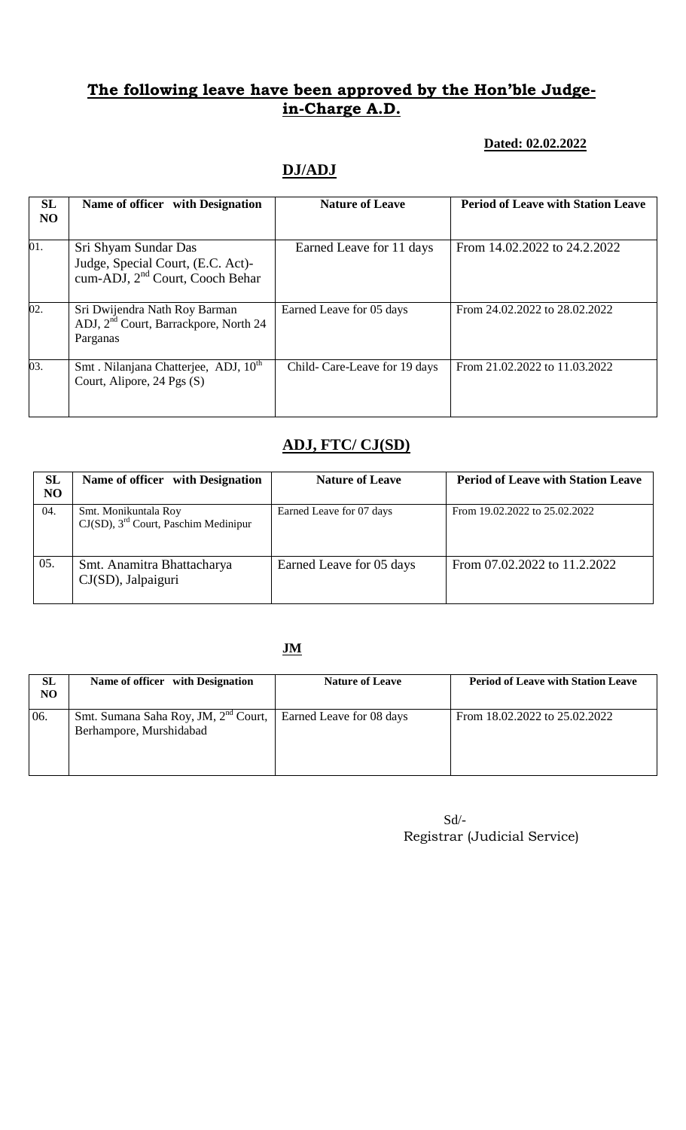#### **Dated: 02.02.2022**

### **DJ/ADJ**

| SL<br>N <sub>O</sub> | Name of officer with Designation                                                                         | <b>Nature of Leave</b>       | <b>Period of Leave with Station Leave</b> |
|----------------------|----------------------------------------------------------------------------------------------------------|------------------------------|-------------------------------------------|
| $\overline{01}$ .    | Sri Shyam Sundar Das<br>Judge, Special Court, (E.C. Act)-<br>cum-ADJ, 2 <sup>nd</sup> Court, Cooch Behar | Earned Leave for 11 days     | From 14.02.2022 to 24.2.2022              |
| 02.                  | Sri Dwijendra Nath Roy Barman<br>ADJ, 2 <sup>nd</sup> Court, Barrackpore, North 24<br>Parganas           | Earned Leave for 05 days     | From 24.02.2022 to 28.02.2022             |
| $\overline{03}$ .    | Smt. Nilanjana Chatterjee, ADJ, 10 <sup>th</sup><br>Court, Alipore, 24 Pgs (S)                           | Child-Care-Leave for 19 days | From 21.02.2022 to 11.03.2022             |

### **ADJ, FTC/ CJ(SD)**

| <b>SL</b><br>N <sub>O</sub> | Name of officer with Designation                                            | <b>Nature of Leave</b>   | <b>Period of Leave with Station Leave</b> |
|-----------------------------|-----------------------------------------------------------------------------|--------------------------|-------------------------------------------|
| 04.                         | Smt. Monikuntala Roy<br>$CJ(SD)$ , 3 <sup>rd</sup> Court, Paschim Medinipur | Earned Leave for 07 days | From 19.02.2022 to 25.02.2022             |
| 05.                         | Smt. Anamitra Bhattacharya<br>CJ(SD), Jalpaiguri                            | Earned Leave for 05 days | From 07.02.2022 to 11.2.2022              |

#### **JM**

| SL<br>NO | Name of officer with Designation                                                                       | <b>Nature of Leave</b> | <b>Period of Leave with Station Leave</b> |
|----------|--------------------------------------------------------------------------------------------------------|------------------------|-------------------------------------------|
| 06.      | Smt. Sumana Saha Roy, JM, 2 <sup>nd</sup> Court,   Earned Leave for 08 days<br>Berhampore, Murshidabad |                        | From 18.02.2022 to 25.02.2022             |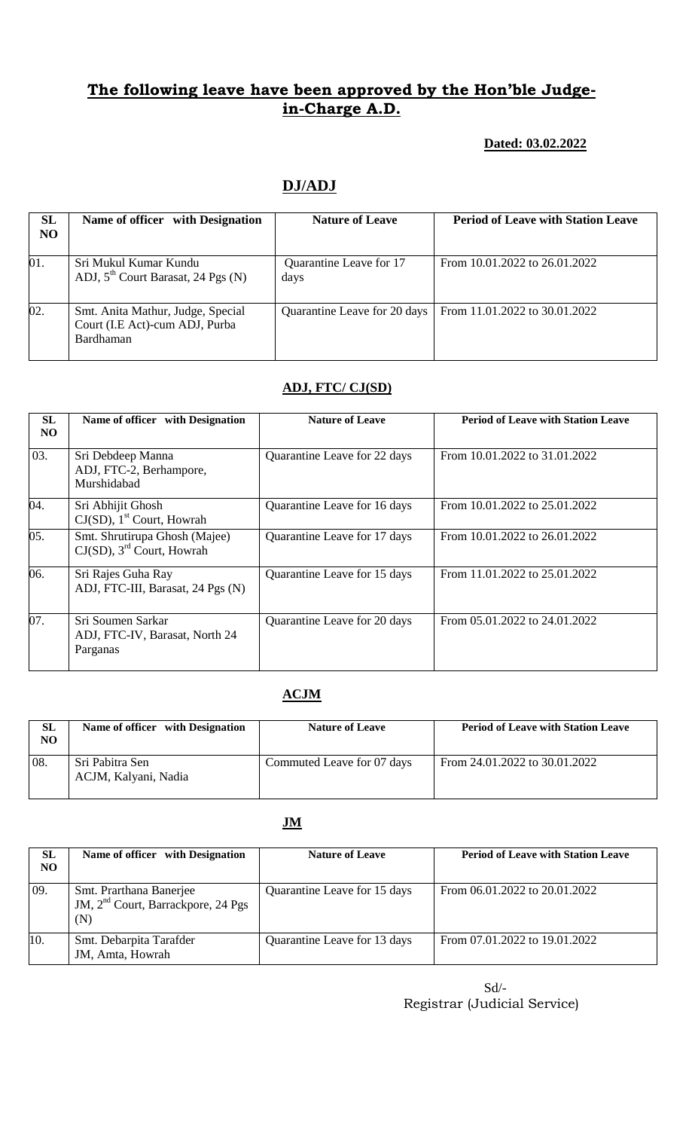#### **Dated: 03.02.2022**

### **DJ/ADJ**

| <b>SL</b><br>N <sub>O</sub> | Name of officer with Designation                                                 | <b>Nature of Leave</b>          | <b>Period of Leave with Station Leave</b> |
|-----------------------------|----------------------------------------------------------------------------------|---------------------------------|-------------------------------------------|
| 01.                         | Sri Mukul Kumar Kundu<br>ADJ, $5th$ Court Barasat, 24 Pgs (N)                    | Quarantine Leave for 17<br>days | From 10.01.2022 to 26.01.2022             |
| 02.                         | Smt. Anita Mathur, Judge, Special<br>Court (I.E Act)-cum ADJ, Purba<br>Bardhaman | Quarantine Leave for 20 days    | From 11.01.2022 to 30.01.2022             |

## **ADJ, FTC/ CJ(SD)**

| SL<br>NO | Name of officer with Designation                                          | <b>Nature of Leave</b>       | <b>Period of Leave with Station Leave</b> |  |
|----------|---------------------------------------------------------------------------|------------------------------|-------------------------------------------|--|
| 03.      | Sri Debdeep Manna<br>ADJ, FTC-2, Berhampore,<br>Murshidabad               | Quarantine Leave for 22 days | From 10.01.2022 to 31.01.2022             |  |
| 04.      | Sri Abhijit Ghosh<br>$CJ(SD)$ , 1 <sup>st</sup> Court, Howrah             | Quarantine Leave for 16 days | From 10.01.2022 to 25.01.2022             |  |
| 05.      | Smt. Shrutirupa Ghosh (Majee)<br>$CJ(SD)$ , 3 <sup>rd</sup> Court, Howrah | Quarantine Leave for 17 days | From 10.01.2022 to 26.01.2022             |  |
| 06.      | Sri Rajes Guha Ray<br>ADJ, FTC-III, Barasat, 24 Pgs (N)                   | Quarantine Leave for 15 days | From 11.01.2022 to 25.01.2022             |  |
| 07.      | Sri Soumen Sarkar<br>ADJ, FTC-IV, Barasat, North 24<br>Parganas           | Quarantine Leave for 20 days | From 05.01.2022 to 24.01.2022             |  |

#### **ACJM**

| <b>SL</b><br>NO. | Name of officer with Designation        | <b>Nature of Leave</b>     | <b>Period of Leave with Station Leave</b> |
|------------------|-----------------------------------------|----------------------------|-------------------------------------------|
| 08.              | Sri Pabitra Sen<br>ACJM, Kalyani, Nadia | Commuted Leave for 07 days | From 24.01.2022 to 30.01.2022             |

#### **JM**

| SL<br>N <sub>O</sub> | Name of officer with Designation                                                 | <b>Nature of Leave</b>       | <b>Period of Leave with Station Leave</b> |
|----------------------|----------------------------------------------------------------------------------|------------------------------|-------------------------------------------|
| 09.                  | Smt. Prarthana Banerjee<br>JM, 2 <sup>nd</sup> Court, Barrackpore, 24 Pgs<br>(N) | Quarantine Leave for 15 days | From 06.01.2022 to 20.01.2022             |
| 10.                  | Smt. Debarpita Tarafder<br>JM, Amta, Howrah                                      | Quarantine Leave for 13 days | From 07.01.2022 to 19.01.2022             |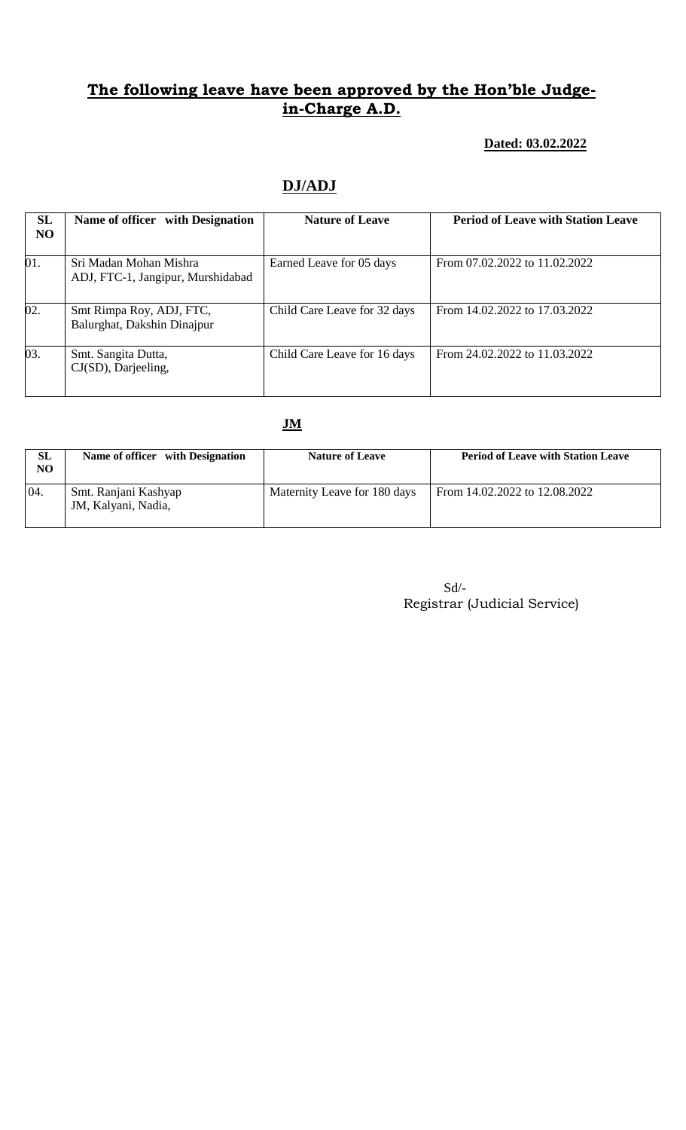#### **Dated: 03.02.2022**

## **DJ/ADJ**

| SL<br>N <sub>O</sub> | Name of officer with Designation                            | <b>Nature of Leave</b>       | <b>Period of Leave with Station Leave</b> |
|----------------------|-------------------------------------------------------------|------------------------------|-------------------------------------------|
| 01.                  | Sri Madan Mohan Mishra<br>ADJ, FTC-1, Jangipur, Murshidabad | Earned Leave for 05 days     | From 07.02.2022 to 11.02.2022             |
| 02.                  | Smt Rimpa Roy, ADJ, FTC,<br>Balurghat, Dakshin Dinajpur     | Child Care Leave for 32 days | From 14.02.2022 to 17.03.2022             |
| 03.                  | Smt. Sangita Dutta,<br>CJ(SD), Darjeeling,                  | Child Care Leave for 16 days | From 24.02.2022 to 11.03.2022             |

#### **JM**

| SL<br>NO | Name of officer with Designation            | <b>Nature of Leave</b>       | <b>Period of Leave with Station Leave</b> |
|----------|---------------------------------------------|------------------------------|-------------------------------------------|
| 04.      | Smt. Ranjani Kashyap<br>JM, Kalyani, Nadia, | Maternity Leave for 180 days | From 14.02.2022 to 12.08.2022             |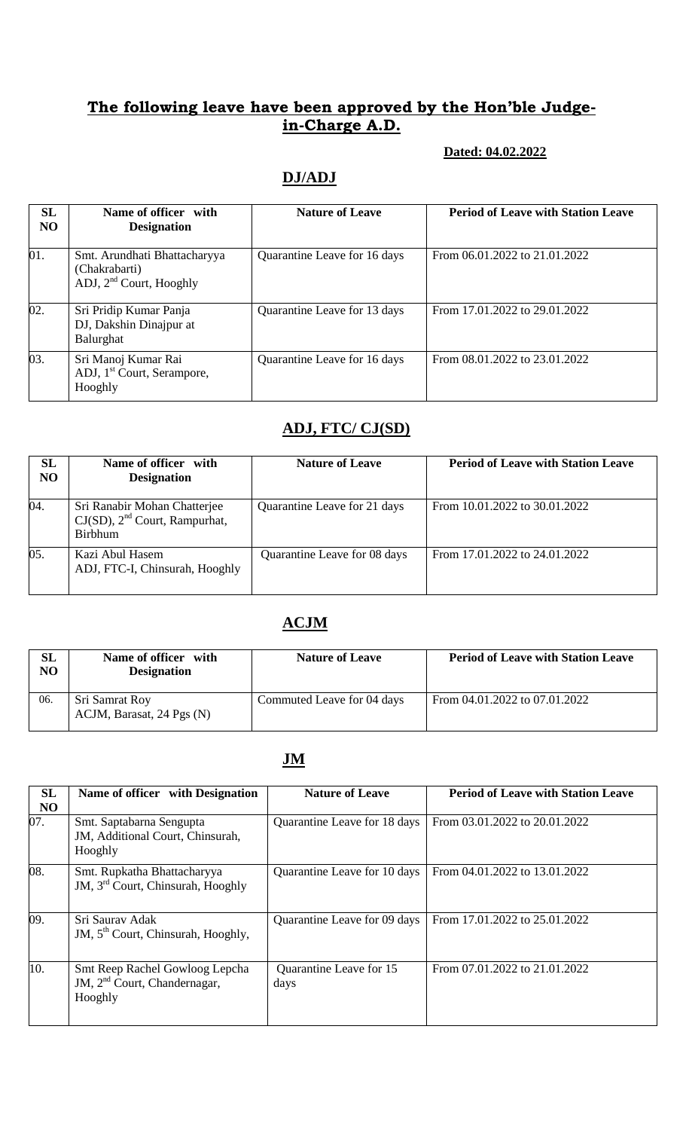#### **Dated: 04.02.2022**

# **DJ/ADJ**

| SL<br>N <sub>O</sub> | Name of officer with<br><b>Designation</b>                                 | <b>Nature of Leave</b>       | <b>Period of Leave with Station Leave</b> |
|----------------------|----------------------------------------------------------------------------|------------------------------|-------------------------------------------|
| 01.                  | Smt. Arundhati Bhattacharyya<br>(Chakrabarti)<br>ADJ, $2nd$ Court, Hooghly | Quarantine Leave for 16 days | From 06.01.2022 to 21.01.2022             |
| 02.                  | Sri Pridip Kumar Panja<br>DJ, Dakshin Dinajpur at<br>Balurghat             | Quarantine Leave for 13 days | From 17.01.2022 to 29.01.2022             |
| 03.                  | Sri Manoj Kumar Rai<br>ADJ, 1 <sup>st</sup> Court, Serampore,<br>Hooghly   | Quarantine Leave for 16 days | From 08.01.2022 to 23.01.2022             |

# **ADJ, FTC/ CJ(SD)**

| SL<br>N <sub>O</sub> | Name of officer with<br><b>Designation</b>                                    | <b>Nature of Leave</b>       | <b>Period of Leave with Station Leave</b> |
|----------------------|-------------------------------------------------------------------------------|------------------------------|-------------------------------------------|
| 04.                  | Sri Ranabir Mohan Chatterjee<br>$CJ(SD)$ , $2nd$ Court, Rampurhat,<br>Birbhum | Quarantine Leave for 21 days | From 10.01.2022 to 30.01.2022             |
| 05.                  | Kazi Abul Hasem<br>ADJ, FTC-I, Chinsurah, Hooghly                             | Quarantine Leave for 08 days | From 17.01.2022 to 24.01.2022             |

### **ACJM**

| SL<br>NO | Name of officer with<br><b>Designation</b>  | <b>Nature of Leave</b>     | <b>Period of Leave with Station Leave</b> |
|----------|---------------------------------------------|----------------------------|-------------------------------------------|
| 06.      | Sri Samrat Roy<br>ACJM, Barasat, 24 Pgs (N) | Commuted Leave for 04 days | From 04.01.2022 to 07.01.2022             |

#### **JM**

| <b>SL</b><br>N <sub>O</sub> | Name of officer with Designation                                                      | <b>Nature of Leave</b>          | <b>Period of Leave with Station Leave</b> |
|-----------------------------|---------------------------------------------------------------------------------------|---------------------------------|-------------------------------------------|
| 07.                         | Smt. Saptabarna Sengupta<br>JM, Additional Court, Chinsurah,<br>Hooghly               | Quarantine Leave for 18 days    | From 03.01.2022 to 20.01.2022             |
| 08.                         | Smt. Rupkatha Bhattacharyya<br>JM, 3 <sup>rd</sup> Court, Chinsurah, Hooghly          | Quarantine Leave for 10 days    | From 04.01.2022 to 13.01.2022             |
| 09.                         | Sri Sauray Adak<br>JM, 5 <sup>th</sup> Court, Chinsurah, Hooghly,                     | Quarantine Leave for 09 days    | From 17.01.2022 to 25.01.2022             |
| 10.                         | Smt Reep Rachel Gowloog Lepcha<br>JM, 2 <sup>nd</sup> Court, Chandernagar,<br>Hooghly | Quarantine Leave for 15<br>days | From 07.01.2022 to 21.01.2022             |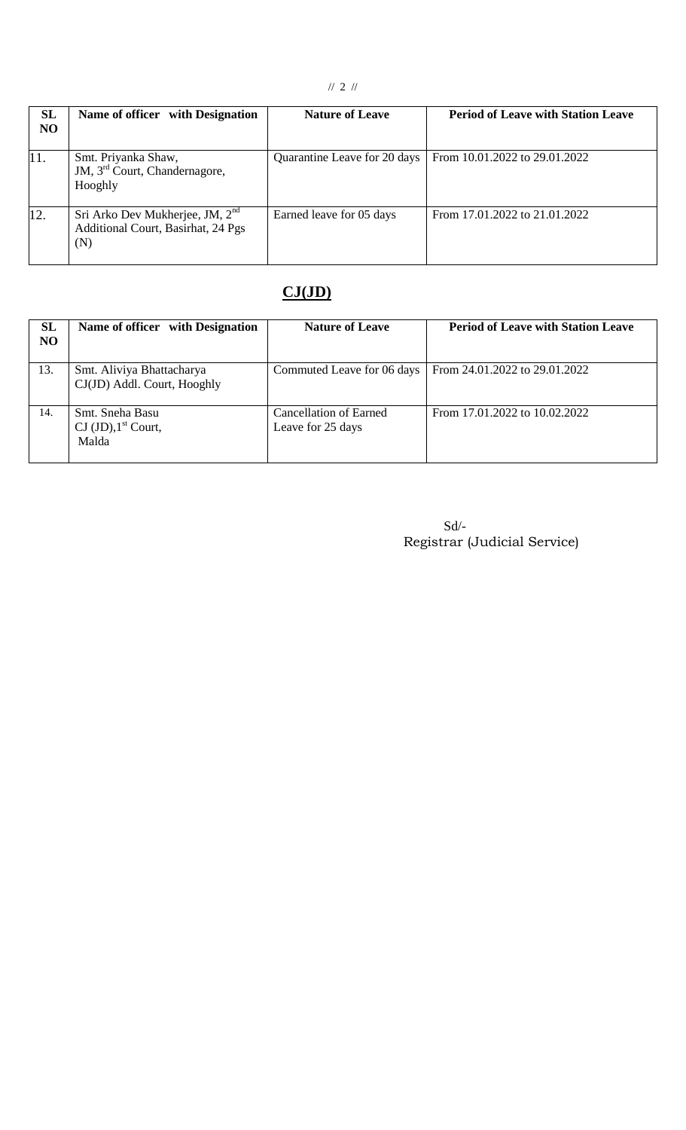| SL<br><b>NO</b> | Name of officer with Designation                                               | <b>Nature of Leave</b>       | <b>Period of Leave with Station Leave</b> |
|-----------------|--------------------------------------------------------------------------------|------------------------------|-------------------------------------------|
| 11.             | Smt. Priyanka Shaw,<br>JM, 3 <sup>rd</sup> Court, Chandernagore,<br>Hooghly    | Quarantine Leave for 20 days | From 10.01.2022 to 29.01.2022             |
| 12.             | Sri Arko Dev Mukherjee, JM, $2nd$<br>Additional Court, Basirhat, 24 Pgs<br>(N) | Earned leave for 05 days     | From 17.01.2022 to 21.01.2022             |

# **CJ(JD)**

| SL<br><b>NO</b> | Name of officer with Designation                                              | <b>Nature of Leave</b>                      | <b>Period of Leave with Station Leave</b> |
|-----------------|-------------------------------------------------------------------------------|---------------------------------------------|-------------------------------------------|
| 13.             | Smt. Aliviya Bhattacharya<br>CJ(JD) Addl. Court, Hooghly                      | Commuted Leave for 06 days                  | From 24.01.2022 to 29.01.2022             |
| 14.             | Smt. Sneha Basu<br>$\text{CI } (\text{JD})$ , 1 <sup>st</sup> Court,<br>Malda | Cancellation of Earned<br>Leave for 25 days | From 17.01.2022 to 10.02.2022             |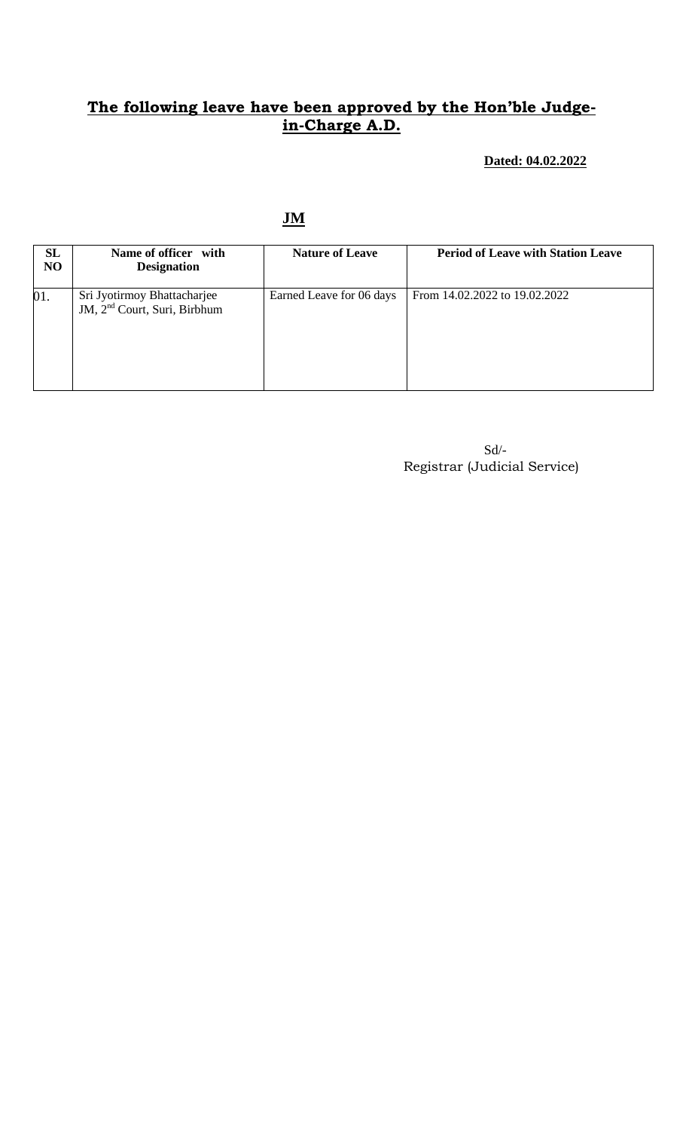**Dated: 04.02.2022**

**JM**

| <b>SL</b><br>NO | Name of officer with<br><b>Designation</b>                              | <b>Nature of Leave</b>   | <b>Period of Leave with Station Leave</b> |
|-----------------|-------------------------------------------------------------------------|--------------------------|-------------------------------------------|
| 01.             | Sri Jyotirmoy Bhattacharjee<br>JM, 2 <sup>nd</sup> Court, Suri, Birbhum | Earned Leave for 06 days | From 14.02.2022 to 19.02.2022             |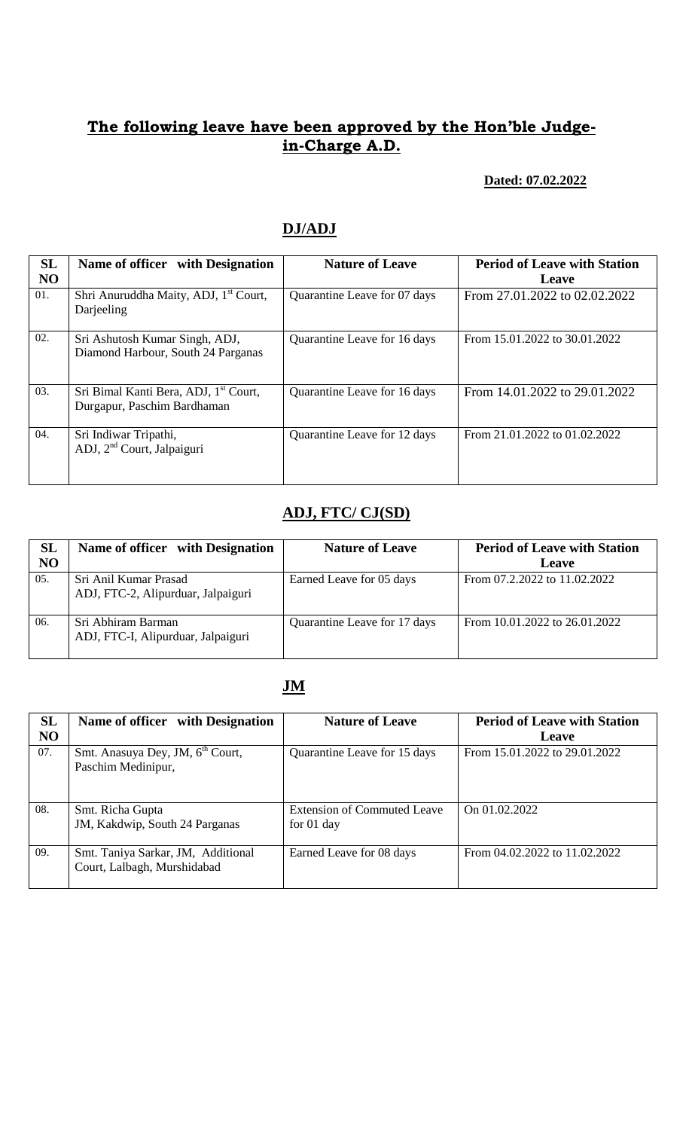#### **Dated: 07.02.2022**

## **DJ/ADJ**

| <b>SL</b><br>NO | Name of officer with Designation                                                 | <b>Nature of Leave</b>       | <b>Period of Leave with Station</b><br>Leave |
|-----------------|----------------------------------------------------------------------------------|------------------------------|----------------------------------------------|
| 01.             | Shri Anuruddha Maity, ADJ, 1 <sup>st</sup> Court,<br>Darjeeling                  | Quarantine Leave for 07 days | From 27.01.2022 to 02.02.2022                |
| 02.             | Sri Ashutosh Kumar Singh, ADJ,<br>Diamond Harbour, South 24 Parganas             | Quarantine Leave for 16 days | From 15.01.2022 to 30.01.2022                |
| 03.             | Sri Bimal Kanti Bera, ADJ, 1 <sup>st</sup> Court,<br>Durgapur, Paschim Bardhaman | Quarantine Leave for 16 days | From 14.01.2022 to 29.01.2022                |
| 04.             | Sri Indiwar Tripathi,<br>ADJ, 2 <sup>nd</sup> Court, Jalpaiguri                  | Quarantine Leave for 12 days | From 21.01.2022 to 01.02.2022                |

## **ADJ, FTC/ CJ(SD)**

| SL<br>N <sub>O</sub> | Name of officer with Designation                            | <b>Nature of Leave</b>       | <b>Period of Leave with Station</b><br>Leave |
|----------------------|-------------------------------------------------------------|------------------------------|----------------------------------------------|
| 05.                  | Sri Anil Kumar Prasad<br>ADJ, FTC-2, Alipurduar, Jalpaiguri | Earned Leave for 05 days     | From 07.2.2022 to 11.02.2022                 |
| 06.                  | Sri Abhiram Barman<br>ADJ, FTC-I, Alipurduar, Jalpaiguri    | Quarantine Leave for 17 days | From 10.01.2022 to 26.01.2022                |

### **JM**

| <b>SL</b><br>N <sub>O</sub> | Name of officer with Designation                                   | <b>Nature of Leave</b>                      | <b>Period of Leave with Station</b><br><b>Leave</b> |
|-----------------------------|--------------------------------------------------------------------|---------------------------------------------|-----------------------------------------------------|
| 07.                         | Smt. Anasuya Dey, JM, 6 <sup>th</sup> Court,<br>Paschim Medinipur, | Quarantine Leave for 15 days                | From 15.01.2022 to 29.01.2022                       |
| 08.                         | Smt. Richa Gupta<br>JM, Kakdwip, South 24 Parganas                 | Extension of Commuted Leave<br>for $01$ day | On $01.02.2022$                                     |
| 09.                         | Smt. Taniya Sarkar, JM, Additional<br>Court, Lalbagh, Murshidabad  | Earned Leave for 08 days                    | From 04.02.2022 to 11.02.2022                       |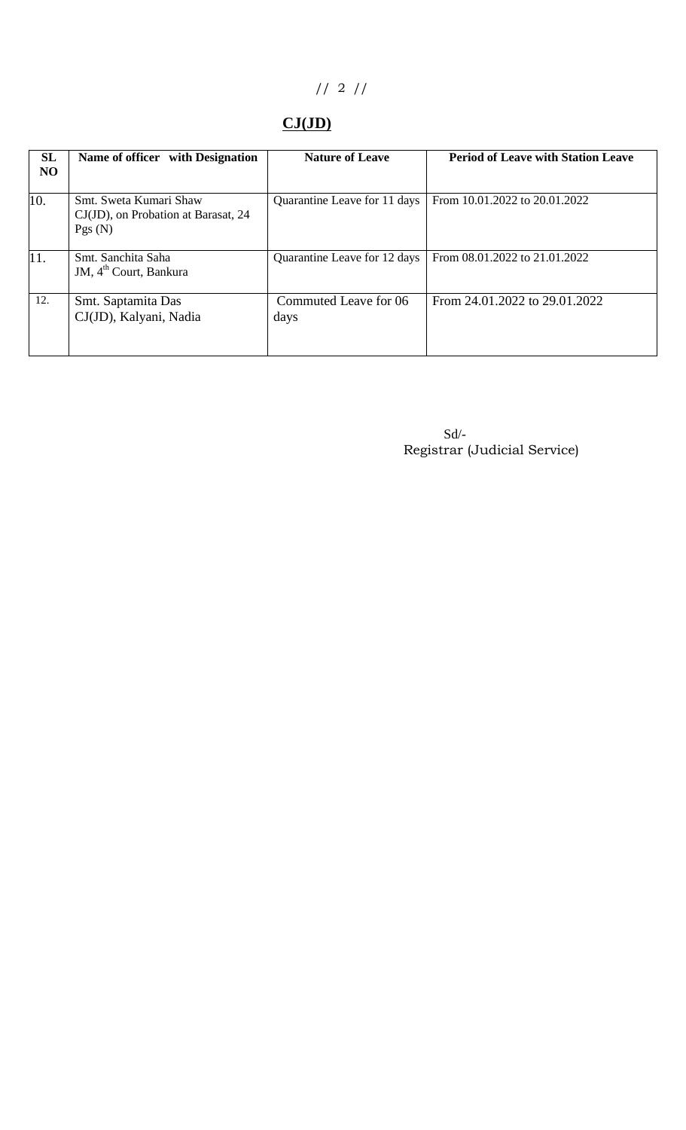# // 2 //

# **CJ(JD)**

| SL<br><b>NO</b> | Name of officer with Designation                                        | <b>Nature of Leave</b>        | <b>Period of Leave with Station Leave</b> |
|-----------------|-------------------------------------------------------------------------|-------------------------------|-------------------------------------------|
| 10.             | Smt. Sweta Kumari Shaw<br>CJ(JD), on Probation at Barasat, 24<br>Pgs(N) | Quarantine Leave for 11 days  | From 10.01.2022 to 20.01.2022             |
| 11.             | Smt. Sanchita Saha<br>JM, 4 <sup>th</sup> Court, Bankura                | Quarantine Leave for 12 days  | From 08.01.2022 to 21.01.2022             |
| 12.             | Smt. Saptamita Das<br>CJ(JD), Kalyani, Nadia                            | Commuted Leave for 06<br>days | From 24.01.2022 to 29.01.2022             |